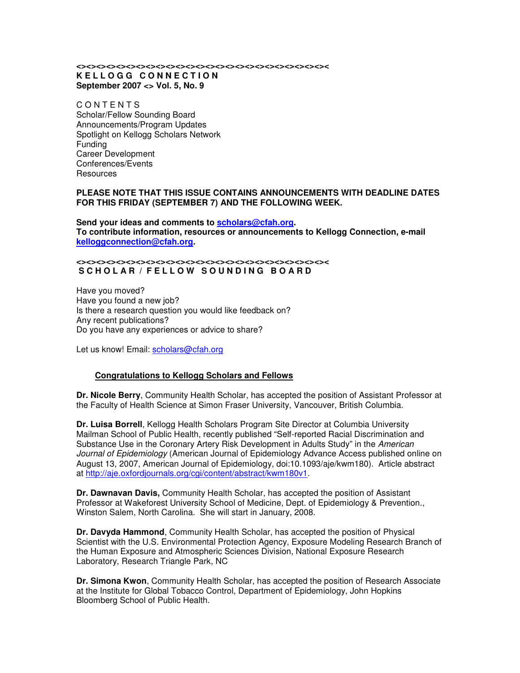# **<><><><><><><><><><><><><><><><><><><><><><><><><><**

**K E L L O G G C O N N E C T I O N September 2007 <> Vol. 5, No. 9**

#### **CONTENTS** Scholar/Fellow Sounding Board Announcements/Program Updates Spotlight on Kellogg Scholars Network Funding Career Development Conferences/Events **Resources**

## **PLEASE NOTE THAT THIS ISSUE CONTAINS ANNOUNCEMENTS WITH DEADLINE DATES FOR THIS FRIDAY (SEPTEMBER 7) AND THE FOLLOWING WEEK.**

**Send your ideas and comments to scholars@cfah.org. To contribute information, resources or announcements to Kellogg Connection, e-mail kelloggconnection@cfah.org.**

#### **<><><><><><><><><><><><><><><><><><><><><><><><><><** SCHOLAR / FELLOW SOUNDING BOARD

Have you moved? Have you found a new job? Is there a research question you would like feedback on? Any recent publications? Do you have any experiences or advice to share?

Let us know! Email: scholars@cfah.org

# **Congratulations to Kellogg Scholars and Fellows**

**Dr. Nicole Berry**, Community Health Scholar, has accepted the position of Assistant Professor at the Faculty of Health Science at Simon Fraser University, Vancouver, British Columbia.

**Dr. Luisa Borrell**, Kellogg Health Scholars Program Site Director at Columbia University Mailman School of Public Health, recently published "Self-reported Racial Discrimination and Substance Use in the Coronary Artery Risk Development in Adults Study" in the *American Journal of Epidemiology* (American Journal of Epidemiology Advance Access published online on August 13, 2007, American Journal of Epidemiology, doi:10.1093/aje/kwm180). Article abstract at http://aje.oxfordjournals.org/cgi/content/abstract/kwm180v1.

**Dr. Dawnavan Davis,** Community Health Scholar, has accepted the position of Assistant Professor at Wakeforest University School of Medicine, Dept. of Epidemiology & Prevention., Winston Salem, North Carolina. She will start in January, 2008.

**Dr. Davyda Hammond**, Community Health Scholar, has accepted the position of Physical Scientist with the U.S. Environmental Protection Agency, Exposure Modeling Research Branch of the Human Exposure and Atmospheric Sciences Division, National Exposure Research Laboratory, Research Triangle Park, NC

**Dr. Simona Kwon**, Community Health Scholar, has accepted the position of Research Associate at the Institute for Global Tobacco Control, Department of Epidemiology, John Hopkins Bloomberg School of Public Health.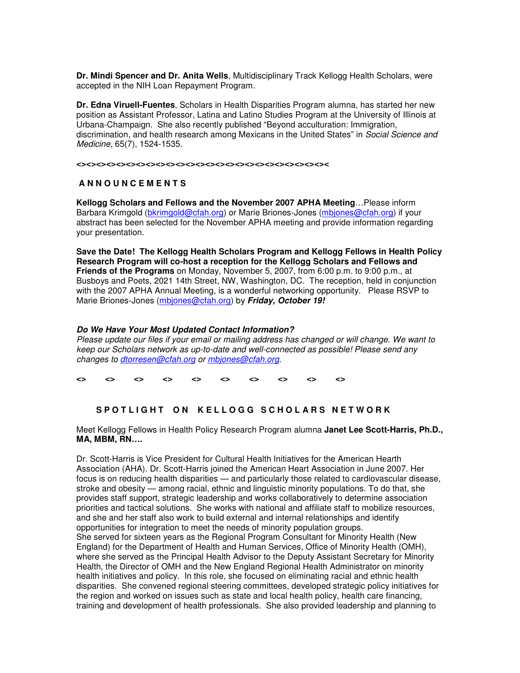**Dr. Mindi Spencer and Dr. Anita Wells**, Multidisciplinary Track Kellogg Health Scholars, were accepted in the NIH Loan Repayment Program.

**Dr. Edna Viruell-Fuentes**, Scholars in Health Disparities Program alumna, has started her new position as Assistant Professor, Latina and Latino Studies Program at the University of Illinois at Urbana-Champaign. She also recently published "Beyond acculturation: Immigration, discrimination, and health research among Mexicans in the United States" in *Social Science and Medicine*, 65(7), 1524-1535.

**<><><><><><><><><><><><><><><><><><><><><><><><><><**

#### **A N N O U N C E M E N T S**

**Kellogg Scholars and Fellows and the November 2007 APHA Meeting**…Please inform Barbara Krimgold (bkrimgold@cfah.org) or Marie Briones-Jones (mbjones@cfah.org) if your abstract has been selected for the November APHA meeting and provide information regarding your presentation.

**Save the Date! The Kellogg Health Scholars Program and Kellogg Fellows in Health Policy Research Program will co-host a reception for the Kellogg Scholars and Fellows and Friends of the Programs** on Monday, November 5, 2007, from 6:00 p.m. to 9:00 p.m., at Busboys and Poets, 2021 14th Street, NW, Washington, DC. The reception, held in conjunction with the 2007 APHA Annual Meeting, is a wonderful networking opportunity. Please RSVP to Marie Briones-Jones (mbjones@cfah.org) by *Friday, October 19!*

#### *Do We Have Your Most Updated Contact Information?*

*Please update our files if your email or mailing address has changed or will change. We want to keep our Scholars network as up-to-date and well-connected as possible! Please send any changes to dtorresen@cfah.org or mbjones@cfah.org.*

**<> <> <> <> <> <> <> <> <> <>**

#### SPOTLIGHT ON KELLOGG SCHOLARS NETWORK

Meet Kellogg Fellows in Health Policy Research Program alumna **Janet Lee Scott-Harris, Ph.D., MA, MBM, RN….**

Dr. Scott-Harris is Vice President for Cultural Health Initiatives for the American Hearth Association (AHA). Dr. Scott-Harris joined the American Heart Association in June 2007. Her focus is on reducing health disparities — and particularly those related to cardiovascular disease, stroke and obesity — among racial, ethnic and linguistic minority populations. To do that, she provides staff support, strategic leadership and works collaboratively to determine association priorities and tactical solutions. She works with national and affiliate staff to mobilize resources, and she and her staff also work to build external and internal relationships and identify opportunities for integration to meet the needs of minority population groups. She served for sixteen years as the Regional Program Consultant for Minority Health (New England) for the Department of Health and Human Services, Office of Minority Health (OMH), where she served as the Principal Health Advisor to the Deputy Assistant Secretary for Minority Health, the Director of OMH and the New England Regional Health Administrator on minority health initiatives and policy. In this role, she focused on eliminating racial and ethnic health disparities. She convened regional steering committees, developed strategic policy initiatives for the region and worked on issues such as state and local health policy, health care financing, training and development of health professionals. She also provided leadership and planning to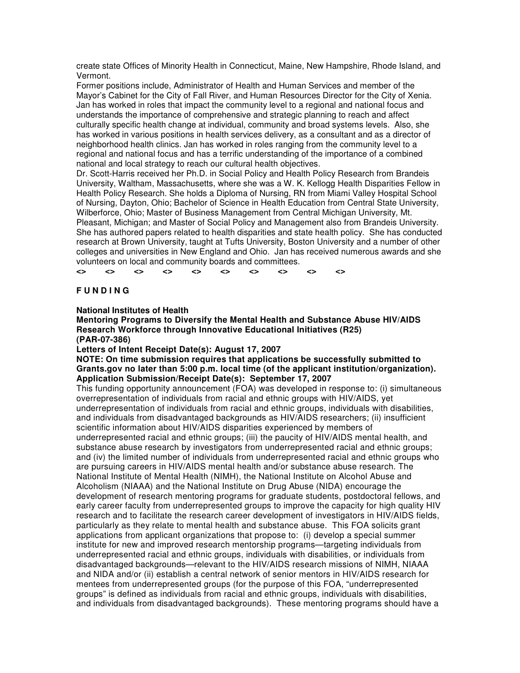create state Offices of Minority Health in Connecticut, Maine, New Hampshire, Rhode Island, and Vermont.

Former positions include, Administrator of Health and Human Services and member of the Mayor's Cabinet for the City of Fall River, and Human Resources Director for the City of Xenia. Jan has worked in roles that impact the community level to a regional and national focus and understands the importance of comprehensive and strategic planning to reach and affect culturally specific health change at individual, community and broad systems levels. Also, she has worked in various positions in health services delivery, as a consultant and as a director of neighborhood health clinics. Jan has worked in roles ranging from the community level to a regional and national focus and has a terrific understanding of the importance of a combined national and local strategy to reach our cultural health objectives.

Dr. Scott-Harris received her Ph.D. in Social Policy and Health Policy Research from Brandeis University, Waltham, Massachusetts, where she was a W. K. Kellogg Health Disparities Fellow in Health Policy Research. She holds a Diploma of Nursing, RN from Miami Valley Hospital School of Nursing, Dayton, Ohio; Bachelor of Science in Health Education from Central State University, Wilberforce, Ohio; Master of Business Management from Central Michigan University, Mt. Pleasant, Michigan; and Master of Social Policy and Management also from Brandeis University. She has authored papers related to health disparities and state health policy. She has conducted research at Brown University, taught at Tufts University, Boston University and a number of other colleges and universities in New England and Ohio. Jan has received numerous awards and she

volunteers on local and community boards and committees.

**<> <> <> <> <> <> <> <> <> <>**

## **F U N D I N G**

#### **National Institutes of Health**

**Mentoring Programs to Diversify the Mental Health and Substance Abuse HIV/AIDS Research Workforce through Innovative Educational Initiatives (R25) (PAR-07-386)**

#### **Letters of Intent Receipt Date(s): August 17, 2007**

**NOTE: On time submission requires that applications be successfully submitted to Grants.gov no later than 5:00 p.m. local time (of the applicant institution/organization). Application Submission/Receipt Date(s): September 17, 2007**

This funding opportunity announcement (FOA) was developed in response to: (i) simultaneous overrepresentation of individuals from racial and ethnic groups with HIV/AIDS, yet underrepresentation of individuals from racial and ethnic groups, individuals with disabilities, and individuals from disadvantaged backgrounds as HIV/AIDS researchers; (ii) insufficient scientific information about HIV/AIDS disparities experienced by members of underrepresented racial and ethnic groups; (iii) the paucity of HIV/AIDS mental health, and substance abuse research by investigators from underrepresented racial and ethnic groups; and (iv) the limited number of individuals from underrepresented racial and ethnic groups who are pursuing careers in HIV/AIDS mental health and/or substance abuse research. The National Institute of Mental Health (NIMH), the National Institute on Alcohol Abuse and Alcoholism (NIAAA) and the National Institute on Drug Abuse (NIDA) encourage the development of research mentoring programs for graduate students, postdoctoral fellows, and early career faculty from underrepresented groups to improve the capacity for high quality HIV research and to facilitate the research career development of investigators in HIV/AIDS fields, particularly as they relate to mental health and substance abuse. This FOA solicits grant applications from applicant organizations that propose to: (i) develop a special summer institute for new and improved research mentorship programs—targeting individuals from underrepresented racial and ethnic groups, individuals with disabilities, or individuals from disadvantaged backgrounds—relevant to the HIV/AIDS research missions of NIMH, NIAAA and NIDA and/or (ii) establish a central network of senior mentors in HIV/AIDS research for mentees from underrepresented groups (for the purpose of this FOA, "underrepresented groups" is defined as individuals from racial and ethnic groups, individuals with disabilities, and individuals from disadvantaged backgrounds). These mentoring programs should have a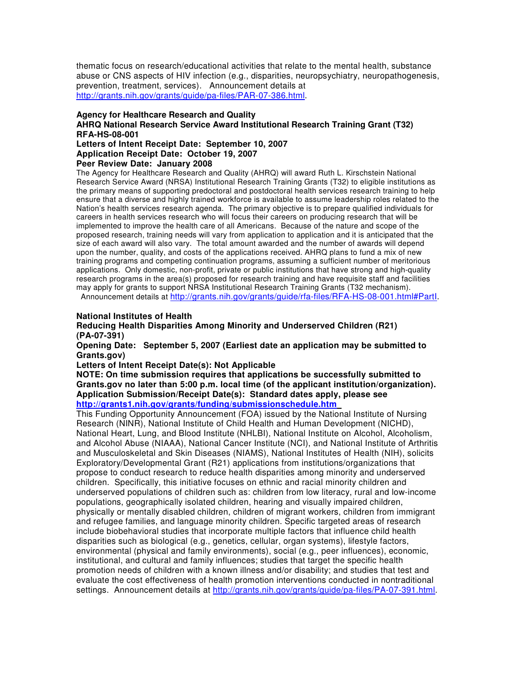thematic focus on research/educational activities that relate to the mental health, substance abuse or CNS aspects of HIV infection (e.g., disparities, neuropsychiatry, neuropathogenesis, prevention, treatment, services). Announcement details at http://grants.nih.gov/grants/guide/pa-files/PAR-07-386.html.

# **Agency for Healthcare Research and Quality AHRQ National Research Service Award Institutional Research Training Grant (T32) RFA-HS-08-001**

#### **Letters of Intent Receipt Date: September 10, 2007 Application Receipt Date: October 19, 2007 Peer Review Date: January 2008**

The Agency for Healthcare Research and Quality (AHRQ) will award Ruth L. Kirschstein National Research Service Award (NRSA) Institutional Research Training Grants (T32) to eligible institutions as the primary means of supporting predoctoral and postdoctoral health services research training to help ensure that a diverse and highly trained workforce is available to assume leadership roles related to the Nation's health services research agenda. The primary objective is to prepare qualified individuals for careers in health services research who will focus their careers on producing research that will be implemented to improve the health care of all Americans. Because of the nature and scope of the proposed research, training needs will vary from application to application and it is anticipated that the size of each award will also vary. The total amount awarded and the number of awards will depend upon the number, quality, and costs of the applications received. AHRQ plans to fund a mix of new training programs and competing continuation programs, assuming a sufficient number of meritorious applications. Only domestic, non-profit, private or public institutions that have strong and high-quality research programs in the area(s) proposed for research training and have requisite staff and facilities may apply for grants to support NRSA Institutional Research Training Grants (T32 mechanism). Announcement details at http://grants.nih.gov/grants/guide/rfa-files/RFA-HS-08-001.html#PartI.

#### **National Institutes of Health**

#### **Reducing Health Disparities Among Minority and Underserved Children (R21) (PA-07-391)**

**Opening Date: September 5, 2007 (Earliest date an application may be submitted to Grants.gov)**

**Letters of Intent Receipt Date(s): Not Applicable**

**NOTE: On time submission requires that applications be successfully submitted to Grants.gov no later than 5:00 p.m. local time (of the applicant institution/organization). Application Submission/Receipt Date(s): Standard dates apply, please see http://grants1.nih.gov/grants/funding/submissionschedule.htm**

This Funding Opportunity Announcement (FOA) issued by the National Institute of Nursing Research (NINR), National Institute of Child Health and Human Development (NICHD), National Heart, Lung, and Blood Institute (NHLBI), National Institute on Alcohol, Alcoholism, and Alcohol Abuse (NIAAA), National Cancer Institute (NCI), and National Institute of Arthritis and Musculoskeletal and Skin Diseases (NIAMS), National Institutes of Health (NIH), solicits Exploratory/Developmental Grant (R21) applications from institutions/organizations that propose to conduct research to reduce health disparities among minority and underserved children. Specifically, this initiative focuses on ethnic and racial minority children and underserved populations of children such as: children from low literacy, rural and low-income populations, geographically isolated children, hearing and visually impaired children, physically or mentally disabled children, children of migrant workers, children from immigrant and refugee families, and language minority children. Specific targeted areas of research include biobehavioral studies that incorporate multiple factors that influence child health disparities such as biological (e.g., genetics, cellular, organ systems), lifestyle factors, environmental (physical and family environments), social (e.g., peer influences), economic, institutional, and cultural and family influences; studies that target the specific health promotion needs of children with a known illness and/or disability; and studies that test and evaluate the cost effectiveness of health promotion interventions conducted in nontraditional settings. Announcement details at http://grants.nih.gov/grants/guide/pa-files/PA-07-391.html.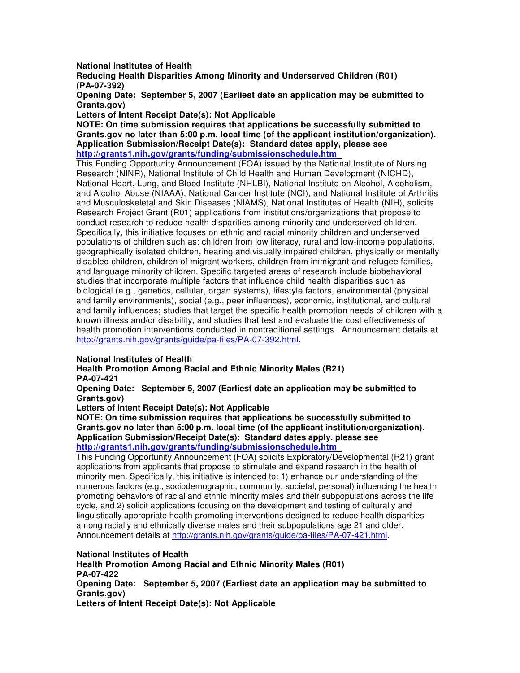## **National Institutes of Health**

**Reducing Health Disparities Among Minority and Underserved Children (R01) (PA-07-392)**

**Opening Date: September 5, 2007 (Earliest date an application may be submitted to Grants.gov)**

**Letters of Intent Receipt Date(s): Not Applicable**

**NOTE: On time submission requires that applications be successfully submitted to Grants.gov no later than 5:00 p.m. local time (of the applicant institution/organization). Application Submission/Receipt Date(s): Standard dates apply, please see http://grants1.nih.gov/grants/funding/submissionschedule.htm**

This Funding Opportunity Announcement (FOA) issued by the National Institute of Nursing Research (NINR), National Institute of Child Health and Human Development (NICHD), National Heart, Lung, and Blood Institute (NHLBI), National Institute on Alcohol, Alcoholism, and Alcohol Abuse (NIAAA), National Cancer Institute (NCI), and National Institute of Arthritis and Musculoskeletal and Skin Diseases (NIAMS), National Institutes of Health (NIH), solicits Research Project Grant (R01) applications from institutions/organizations that propose to conduct research to reduce health disparities among minority and underserved children. Specifically, this initiative focuses on ethnic and racial minority children and underserved populations of children such as: children from low literacy, rural and low-income populations, geographically isolated children, hearing and visually impaired children, physically or mentally disabled children, children of migrant workers, children from immigrant and refugee families, and language minority children. Specific targeted areas of research include biobehavioral studies that incorporate multiple factors that influence child health disparities such as biological (e.g., genetics, cellular, organ systems), lifestyle factors, environmental (physical and family environments), social (e.g., peer influences), economic, institutional, and cultural and family influences; studies that target the specific health promotion needs of children with a known illness and/or disability; and studies that test and evaluate the cost effectiveness of health promotion interventions conducted in nontraditional settings. Announcement details at http://grants.nih.gov/grants/guide/pa-files/PA-07-392.html.

#### **National Institutes of Health**

**Health Promotion Among Racial and Ethnic Minority Males (R21) PA-07-421**

**Opening Date: September 5, 2007 (Earliest date an application may be submitted to Grants.gov)**

**Letters of Intent Receipt Date(s): Not Applicable**

**NOTE: On time submission requires that applications be successfully submitted to Grants.gov no later than 5:00 p.m. local time (of the applicant institution/organization). Application Submission/Receipt Date(s): Standard dates apply, please see http://grants1.nih.gov/grants/funding/submissionschedule.htm**

This Funding Opportunity Announcement (FOA) solicits Exploratory/Developmental (R21) grant applications from applicants that propose to stimulate and expand research in the health of minority men. Specifically, this initiative is intended to: 1) enhance our understanding of the numerous factors (e.g., sociodemographic, community, societal, personal) influencing the health promoting behaviors of racial and ethnic minority males and their subpopulations across the life cycle, and 2) solicit applications focusing on the development and testing of culturally and linguistically appropriate health-promoting interventions designed to reduce health disparities among racially and ethnically diverse males and their subpopulations age 21 and older. Announcement details at http://grants.nih.gov/grants/guide/pa-files/PA-07-421.html.

## **National Institutes of Health**

**Health Promotion Among Racial and Ethnic Minority Males (R01) PA-07-422 Opening Date: September 5, 2007 (Earliest date an application may be submitted to Grants.gov)**

**Letters of Intent Receipt Date(s): Not Applicable**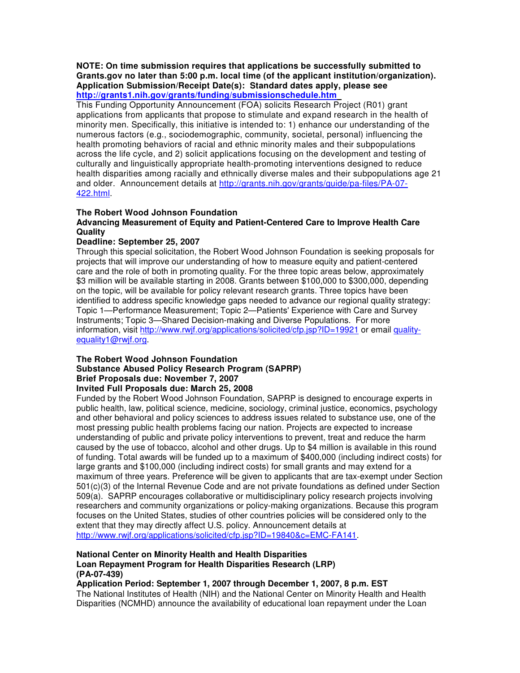**NOTE: On time submission requires that applications be successfully submitted to Grants.gov no later than 5:00 p.m. local time (of the applicant institution/organization). Application Submission/Receipt Date(s): Standard dates apply, please see http://grants1.nih.gov/grants/funding/submissionschedule.htm**

This Funding Opportunity Announcement (FOA) solicits Research Project (R01) grant applications from applicants that propose to stimulate and expand research in the health of minority men. Specifically, this initiative is intended to: 1) enhance our understanding of the numerous factors (e.g., sociodemographic, community, societal, personal) influencing the health promoting behaviors of racial and ethnic minority males and their subpopulations across the life cycle, and 2) solicit applications focusing on the development and testing of culturally and linguistically appropriate health-promoting interventions designed to reduce health disparities among racially and ethnically diverse males and their subpopulations age 21 and older. Announcement details at http://grants.nih.gov/grants/guide/pa-files/PA-07- 422.html.

# **The Robert Wood Johnson Foundation**

# **Advancing Measurement of Equity and Patient-Centered Care to Improve Health Care Quality**

#### **Deadline: September 25, 2007**

Through this special solicitation, the Robert Wood Johnson Foundation is seeking proposals for projects that will improve our understanding of how to measure equity and patient-centered care and the role of both in promoting quality. For the three topic areas below, approximately \$3 million will be available starting in 2008. Grants between \$100,000 to \$300,000, depending on the topic, will be available for policy relevant research grants. Three topics have been identified to address specific knowledge gaps needed to advance our regional quality strategy: Topic 1—Performance Measurement; Topic 2—Patients'Experience with Care and Survey Instruments; Topic 3—Shared Decision-making and Diverse Populations. For more information, visit http://www.rwjf.org/applications/solicited/cfp.jsp?ID=19921 or email qualityequality1@rwjf.org.

#### **The Robert Wood Johnson Foundation Substance Abused Policy Research Program (SAPRP) Brief Proposals due: November 7, 2007 Invited Full Proposals due: March 25, 2008**

Funded by the Robert Wood Johnson Foundation, SAPRP is designed to encourage experts in public health, law, political science, medicine, sociology, criminal justice, economics, psychology and other behavioral and policy sciences to address issues related to substance use, one of the most pressing public health problems facing our nation. Projects are expected to increase understanding of public and private policy interventions to prevent, treat and reduce the harm caused by the use of tobacco, alcohol and other drugs. Up to \$4 million is available in this round of funding. Total awards will be funded up to a maximum of \$400,000 (including indirect costs) for large grants and \$100,000 (including indirect costs) for small grants and may extend for a maximum of three years. Preference will be given to applicants that are tax-exempt under Section 501(c)(3) of the Internal Revenue Code and are not private foundations as defined under Section 509(a). SAPRP encourages collaborative or multidisciplinary policy research projects involving researchers and community organizations or policy-making organizations. Because this program focuses on the United States, studies of other countries policies will be considered only to the extent that they may directly affect U.S. policy. Announcement details at http://www.rwjf.org/applications/solicited/cfp.jsp?ID=19840&c=EMC-FA141.

#### **National Center on Minority Health and Health Disparities Loan Repayment Program for Health Disparities Research (LRP) (PA-07-439)**

#### **Application Period: September 1, 2007 through December 1, 2007, 8 p.m. EST**

The National Institutes of Health (NIH) and the National Center on Minority Health and Health Disparities (NCMHD) announce the availability of educational loan repayment under the Loan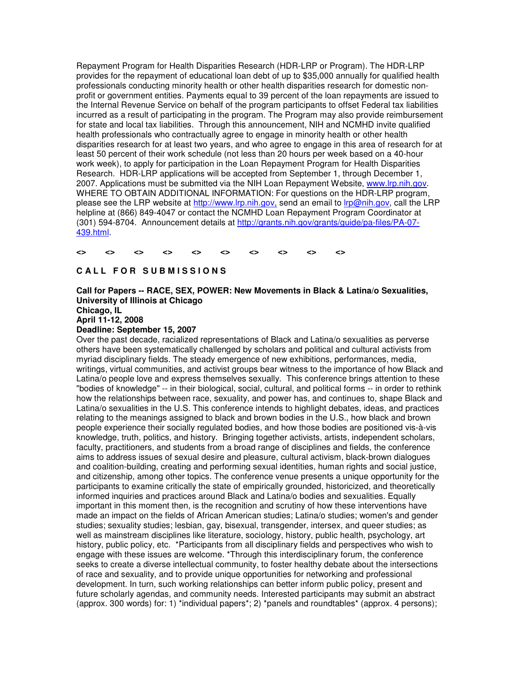Repayment Program for Health Disparities Research (HDR-LRP or Program). The HDR-LRP provides for the repayment of educational loan debt of up to \$35,000 annually for qualified health professionals conducting minority health or other health disparities research for domestic nonprofit or government entities. Payments equal to 39 percent of the loan repayments are issued to the Internal Revenue Service on behalf of the program participants to offset Federal tax liabilities incurred as a result of participating in the program. The Program may also provide reimbursement for state and local tax liabilities. Through this announcement, NIH and NCMHD invite qualified health professionals who contractually agree to engage in minority health or other health disparities research for at least two years, and who agree to engage in this area of research for at least 50 percent of their work schedule (not less than 20 hours per week based on a 40-hour work week), to apply for participation in the Loan Repayment Program for Health Disparities Research. HDR-LRP applications will be accepted from September 1, through December 1, 2007. Applications must be submitted via the NIH Loan Repayment Website, www.lrp.nih.gov. WHERE TO OBTAIN ADDITIONAL INFORMATION: For questions on the HDR-LRP program, please see the LRP website at http://www.lrp.nih.gov, send an email to lrp@nih.gov, call the LRP helpline at (866) 849-4047 or contact the NCMHD Loan Repayment Program Coordinator at (301) 594-8704. Announcement details at http://grants.nih.gov/grants/guide/pa-files/PA-07- 439.html.

#### **<> <> <> <> <> <> <> <> <> <>**

# **C A L L F O R S U B M I S S I O N S**

# **Call for Papers -- RACE, SEX, POWER: New Movements in Black & Latina/o Sexualities, University of Illinois at Chicago**

**Chicago, IL April 11-12, 2008 Deadline: September 15, 2007**

Over the past decade, racialized representations of Black and Latina/o sexualities as perverse others have been systematically challenged by scholars and political and cultural activists from myriad disciplinary fields. The steady emergence of new exhibitions, performances, media, writings, virtual communities, and activist groups bear witness to the importance of how Black and Latina/o people love and express themselves sexually. This conference brings attention to these "bodies of knowledge" -- in their biological, social, cultural, and political forms -- in order to rethink how the relationships between race, sexuality, and power has, and continues to, shape Black and Latina/o sexualities in the U.S. This conference intends to highlight debates, ideas, and practices relating to the meanings assigned to black and brown bodies in the U.S., how black and brown people experience their socially regulated bodies, and how those bodies are positioned vis-à-vis knowledge, truth, politics, and history. Bringing together activists, artists, independent scholars, faculty, practitioners, and students from a broad range of disciplines and fields, the conference aims to address issues of sexual desire and pleasure, cultural activism, black-brown dialogues and coalition-building, creating and performing sexual identities, human rights and social justice, and citizenship, among other topics. The conference venue presents a unique opportunity for the participants to examine critically the state of empirically grounded, historicized, and theoretically informed inquiries and practices around Black and Latina/o bodies and sexualities. Equally important in this moment then, is the recognition and scrutiny of how these interventions have made an impact on the fields of African American studies; Latina/o studies; women's and gender studies; sexuality studies; lesbian, gay, bisexual, transgender, intersex, and queer studies; as well as mainstream disciplines like literature, sociology, history, public health, psychology, art history, public policy, etc. \*Participants from all disciplinary fields and perspectives who wish to engage with these issues are welcome. \*Through this interdisciplinary forum, the conference seeks to create a diverse intellectual community, to foster healthy debate about the intersections of race and sexuality, and to provide unique opportunities for networking and professional development. In turn, such working relationships can better inform public policy, present and future scholarly agendas, and community needs. Interested participants may submit an abstract (approx. 300 words) for: 1) \*individual papers\*; 2) \*panels and roundtables\* (approx. 4 persons);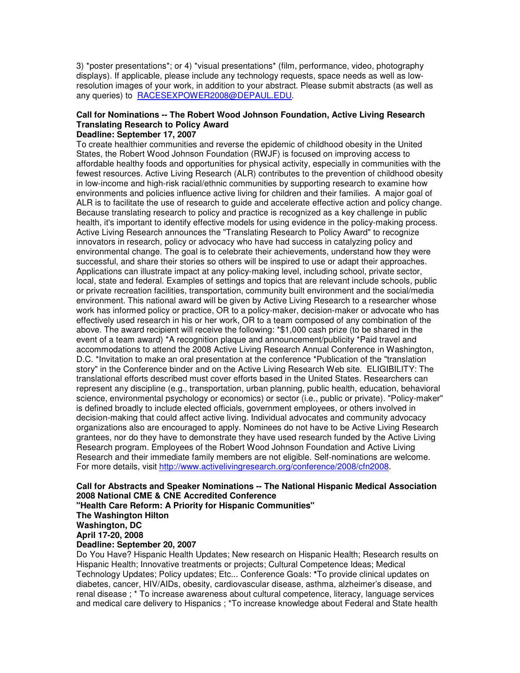3) \*poster presentations\*; or 4) \*visual presentations\* (film, performance, video, photography displays). If applicable, please include any technology requests, space needs as well as lowresolution images of your work, in addition to your abstract. Please submit abstracts (as well as any queries) to RACESEXPOWER2008@DEPAUL.EDU.

#### **Call for Nominations -- The Robert Wood Johnson Foundation, Active Living Research Translating Research to Policy Award Deadline: September 17, 2007**

To create healthier communities and reverse the epidemic of childhood obesity in the United States, the Robert Wood Johnson Foundation (RWJF) is focused on improving access to affordable healthy foods and opportunities for physical activity, especially in communities with the fewest resources. Active Living Research (ALR) contributes to the prevention of childhood obesity in low-income and high-risk racial/ethnic communities by supporting research to examine how environments and policies influence active living for children and their families. A major goal of ALR is to facilitate the use of research to guide and accelerate effective action and policy change. Because translating research to policy and practice is recognized as a key challenge in public health, it's important to identify effective models for using evidence in the policy-making process. Active Living Research announces the "Translating Research to Policy Award" to recognize innovators in research, policy or advocacy who have had success in catalyzing policy and environmental change. The goal is to celebrate their achievements, understand how they were successful, and share their stories so others will be inspired to use or adapt their approaches. Applications can illustrate impact at any policy-making level, including school, private sector, local, state and federal. Examples of settings and topics that are relevant include schools, public or private recreation facilities, transportation, community built environment and the social/media environment. This national award will be given by Active Living Research to a researcher whose work has informed policy or practice, OR to a policy-maker, decision-maker or advocate who has effectively used research in his or her work, OR to a team composed of any combination of the above. The award recipient will receive the following: \*\$1,000 cash prize (to be shared in the event of a team award) \*A recognition plaque and announcement/publicity \*Paid travel and accommodations to attend the 2008 Active Living Research Annual Conference in Washington, D.C. \*Invitation to make an oral presentation at the conference \*Publication of the "translation story" in the Conference binder and on the Active Living Research Web site. ELIGIBILITY: The translational efforts described must cover efforts based in the United States. Researchers can represent any discipline (e.g., transportation, urban planning, public health, education, behavioral science, environmental psychology or economics) or sector (i.e., public or private). "Policy-maker" is defined broadly to include elected officials, government employees, or others involved in decision-making that could affect active living. Individual advocates and community advocacy organizations also are encouraged to apply. Nominees do not have to be Active Living Research grantees, nor do they have to demonstrate they have used research funded by the Active Living Research program. Employees of the Robert Wood Johnson Foundation and Active Living Research and their immediate family members are not eligible. Self-nominations are welcome. For more details, visit http://www.activelivingresearch.org/conference/2008/cfn2008.

#### **Call for Abstracts and Speaker Nominations -- The National Hispanic Medical Association 2008 National CME & CNE Accredited Conference "Health Care Reform: A Priority for Hispanic Communities"**

**The Washington Hilton Washington, DC April 17-20, 2008 Deadline: September 20, 2007**

Do You Have? Hispanic Health Updates; New research on Hispanic Health; Research results on Hispanic Health; Innovative treatments or projects; Cultural Competence Ideas; Medical Technology Updates; Policy updates; Etc... Conference Goals: **\***To provide clinical updates on diabetes, cancer, HIV/AIDs, obesity, cardiovascular disease, asthma, alzheimer's disease, and renal disease ; \* To increase awareness about cultural competence, literacy, language services and medical care delivery to Hispanics ; \*To increase knowledge about Federal and State health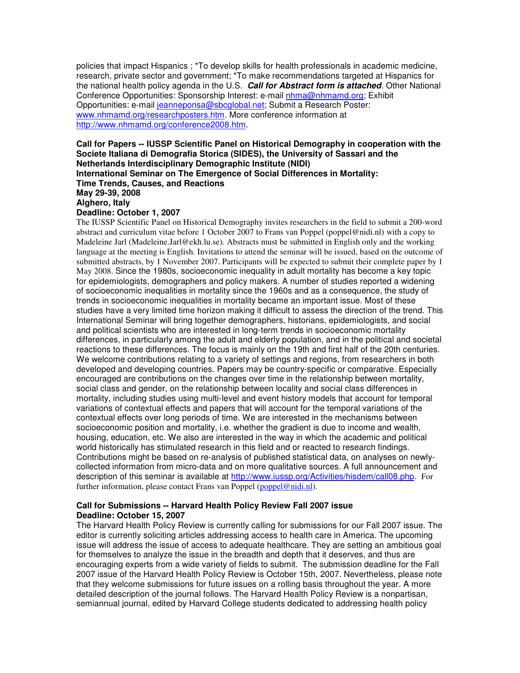policies that impact Hispanics ; \*To develop skills for health professionals in academic medicine, research, private sector and government; \*To make recommendations targeted at Hispanics for the national health policy agenda in the U.S. *Call for Abstract form is attached*. Other National Conference Opportunities: Sponsorship Interest: e-mail nhma@nhmamd.org; Exhibit Opportunities: e-mail jeanneponsa@sbcglobal.net; Submit a Research Poster: www.nhmamd.org/researchposters.htm. More conference information at http://www.nhmamd.org/conference2008.htm.

**Call for Papers -- IUSSP Scientific Panel on Historical Demography in cooperation with the Societe Italiana di Demografia Storica (SIDES), the University of Sassari and the Netherlands Interdisciplinary Demographic Institute (NIDI) International Seminar on The Emergence of Social Differences in Mortality: Time Trends, Causes, and Reactions**

**May 29-39, 2008**

#### **Alghero, Italy Deadline: October 1, 2007**

The IUSSP Scientific Panel on Historical Demography invites researchers in the field to submit a 200-word abstract and curriculum vitae before 1 October 2007 to Frans van Poppel (poppel@nidi.nl) with a copy to Madeleine Jarl (Madeleine.Jarl@ekh.lu.se). Abstracts must be submitted in English only and the working language at the meeting is English. Invitations to attend the seminar will be issued, based on the outcome of submitted abstracts, by 1 November 2007. Participants will be expected to submit their complete paper by 1 May 2008. Since the 1980s, socioeconomic inequality in adult mortality has become a key topic for epidemiologists, demographers and policy makers. A number of studies reported a widening of socioeconomic inequalities in mortality since the 1960s and as a consequence, the study of trends in socioeconomic inequalities in mortality became an important issue. Most of these studies have a very limited time horizon making it difficult to assess the direction of the trend. This International Seminar will bring together demographers, historians, epidemiologists, and social and political scientists who are interested in long-term trends in socioeconomic mortality differences, in particularly among the adult and elderly population, and in the political and societal reactions to these differences. The focus is mainly on the 19th and first half of the 20th centuries. We welcome contributions relating to a variety of settings and regions, from researchers in both developed and developing countries. Papers may be country-specific or comparative. Especially encouraged are contributions on the changes over time in the relationship between mortality, social class and gender, on the relationship between locality and social class differences in mortality, including studies using multi-level and event history models that account for temporal variations of contextual effects and papers that will account for the temporal variations of the contextual effects over long periods of time. We are interested in the mechanisms between socioeconomic position and mortality, i.e. whether the gradient is due to income and wealth, housing, education, etc. We also are interested in the way in which the academic and political world historically has stimulated research in this field and or reacted to research findings. Contributions might be based on re-analysis of published statistical data, on analyses on newlycollected information from micro-data and on more qualitative sources. A full announcement and description of this seminar is available at http://www.iussp.org/Activities/hisdem/call08.php. For further information, please contact Frans van Poppel (poppel@nidi.nl).

# **Call for Submissions -- Harvard Health Policy Review Fall 2007 issue Deadline: October 15, 2007**

The Harvard Health Policy Review is currently calling for submissions for our Fall 2007 issue. The editor is currently soliciting articles addressing access to health care in America. The upcoming issue will address the issue of access to adequate healthcare. They are setting an ambitious goal for themselves to analyze the issue in the breadth and depth that it deserves, and thus are encouraging experts from a wide variety of fields to submit. The submission deadline for the Fall 2007 issue of the Harvard Health Policy Review is October 15th, 2007. Nevertheless, please note that they welcome submissions for future issues on a rolling basis throughout the year. A more detailed description of the journal follows. The Harvard Health Policy Review is a nonpartisan, semiannual journal, edited by Harvard College students dedicated to addressing health policy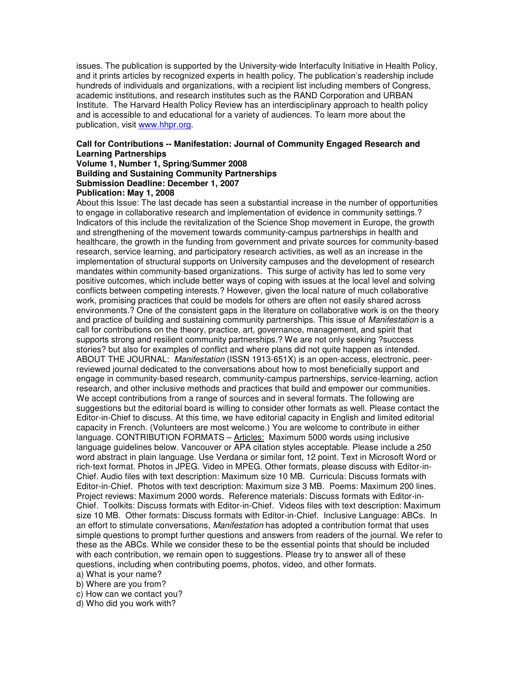issues. The publication is supported by the University-wide Interfaculty Initiative in Health Policy, and it prints articles by recognized experts in health policy. The publication's readership include hundreds of individuals and organizations, with a recipient list including members of Congress, academic institutions, and research institutes such as the RAND Corporation and URBAN Institute. The Harvard Health Policy Review has an interdisciplinary approach to health policy and is accessible to and educational for a variety of audiences. To learn more about the publication, visit www.hhpr.org.

# **Call for Contributions -- Manifestation: Journal of Community Engaged Research and Learning Partnerships**

**Volume 1, Number 1, Spring/Summer 2008 Building and Sustaining Community Partnerships Submission Deadline: December 1, 2007 Publication: May 1, 2008**

About this Issue: The last decade has seen a substantial increase in the number of opportunities to engage in collaborative research and implementation of evidence in community settings.? Indicators of this include the revitalization of the Science Shop movement in Europe, the growth and strengthening of the movement towards community-campus partnerships in health and healthcare, the growth in the funding from government and private sources for community-based research, service learning, and participatory research activities, as well as an increase in the implementation of structural supports on University campuses and the development of research mandates within community-based organizations. This surge of activity has led to some very positive outcomes, which include better ways of coping with issues at the local level and solving conflicts between competing interests.? However, given the local nature of much collaborative work, promising practices that could be models for others are often not easily shared across environments.? One of the consistent gaps in the literature on collaborative work is on the theory and practice of building and sustaining community partnerships. This issue of *Manifestation* is a call for contributions on the theory, practice, art, governance, management, and spirit that supports strong and resilient community partnerships.? We are not only seeking ?success stories? but also for examples of conflict and where plans did not quite happen as intended. ABOUT THE JOURNAL: *Manifestation* (ISSN 1913-651X) is an open-access, electronic, peerreviewed journal dedicated to the conversations about how to most beneficially support and engage in community-based research, community-campus partnerships, service-learning, action research, and other inclusive methods and practices that build and empower our communities. We accept contributions from a range of sources and in several formats. The following are suggestions but the editorial board is willing to consider other formats as well. Please contact the Editor-in-Chief to discuss. At this time, we have editorial capacity in English and limited editorial capacity in French. (Volunteers are most welcome.) You are welcome to contribute in either language. CONTRIBUTION FORMATS – Articles: Maximum 5000 words using inclusive language guidelines below. Vancouver or APA citation styles acceptable. Please include a 250 word abstract in plain language. Use Verdana or similar font, 12 point. Text in Microsoft Word or rich-text format. Photos in JPEG. Video in MPEG. Other formats, please discuss with Editor-in-Chief. Audio files with text description: Maximum size 10 MB. Curricula: Discuss formats with Editor-in-Chief. Photos with text description: Maximum size 3 MB. Poems: Maximum 200 lines. Project reviews: Maximum 2000 words. Reference materials: Discuss formats with Editor-in-Chief. Toolkits: Discuss formats with Editor-in-Chief. Videos files with text description: Maximum size 10 MB. Other formats: Discuss formats with Editor-in-Chief. Inclusive Language: ABCs. In an effort to stimulate conversations, *Manifestation* has adopted a contribution format that uses simple questions to prompt further questions and answers from readers of the journal. We refer to these as the ABCs. While we consider these to be the essential points that should be included with each contribution, we remain open to suggestions. Please try to answer all of these questions, including when contributing poems, photos, video, and other formats.

a) What is your name?

b) Where are you from?

c) How can we contact you?

d) Who did you work with?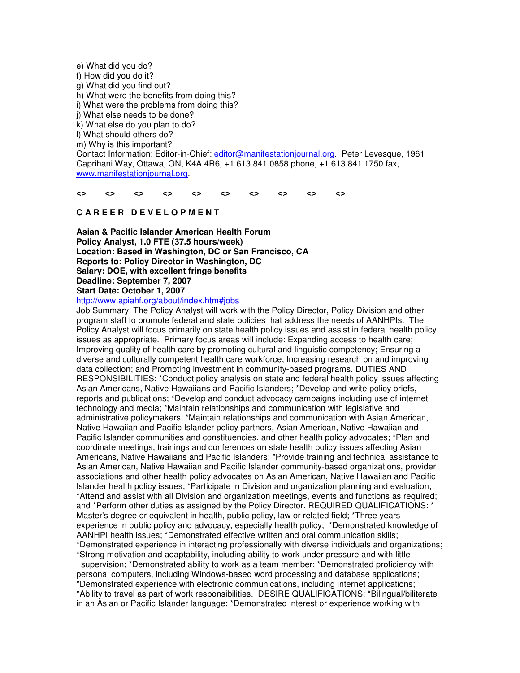e) What did you do? f) How did you do it? g) What did you find out? h) What were the benefits from doing this? i) What were the problems from doing this? j) What else needs to be done? k) What else do you plan to do? l) What should others do? m) Why is this important? Contact Information: Editor-in-Chief: editor@manifestationjournal.org. Peter Levesque, 1961 Caprihani Way, Ottawa, ON, K4A 4R6, +1 613 841 0858 phone, +1 613 841 1750 fax, www.manifestationjournal.org.

**<> <> <> <> <> <> <> <> <> <>**

# **C A R E E R D E V E L O P M E N T**

**Asian & Pacific Islander American Health Forum Policy Analyst, 1.0 FTE (37.5 hours/week) Location: Based in Washington, DC or San Francisco, CA Reports to: Policy Director in Washington, DC Salary: DOE, with excellent fringe benefits Deadline: September 7, 2007 Start Date: October 1, 2007**

#### http://www.apiahf.org/about/index.htm#jobs

Job Summary: The Policy Analyst will work with the Policy Director, Policy Division and other program staff to promote federal and state policies that address the needs of AANHPIs. The Policy Analyst will focus primarily on state health policy issues and assist in federal health policy issues as appropriate. Primary focus areas will include: Expanding access to health care; Improving quality of health care by promoting cultural and linguistic competency; Ensuring a diverse and culturally competent health care workforce; Increasing research on and improving data collection; and Promoting investment in community-based programs. DUTIES AND RESPONSIBILITIES: \*Conduct policy analysis on state and federal health policy issues affecting Asian Americans, Native Hawaiians and Pacific Islanders; \*Develop and write policy briefs, reports and publications; \*Develop and conduct advocacy campaigns including use of internet technology and media; \*Maintain relationships and communication with legislative and administrative policymakers; \*Maintain relationships and communication with Asian American, Native Hawaiian and Pacific Islander policy partners, Asian American, Native Hawaiian and Pacific Islander communities and constituencies, and other health policy advocates; \*Plan and coordinate meetings, trainings and conferences on state health policy issues affecting Asian Americans, Native Hawaiians and Pacific Islanders; \*Provide training and technical assistance to Asian American, Native Hawaiian and Pacific Islander community-based organizations, provider associations and other health policy advocates on Asian American, Native Hawaiian and Pacific Islander health policy issues; \*Participate in Division and organization planning and evaluation; \*Attend and assist with all Division and organization meetings, events and functions as required; and \*Perform other duties as assigned by the Policy Director. REQUIRED QUALIFICATIONS: \* Master's degree or equivalent in health, public policy, law or related field; \*Three years experience in public policy and advocacy, especially health policy; \*Demonstrated knowledge of AANHPI health issues; \*Demonstrated effective written and oral communication skills; \*Demonstrated experience in interacting professionally with diverse individuals and organizations; \*Strong motivation and adaptability, including ability to work under pressure and with little supervision; \*Demonstrated ability to work as a team member; \*Demonstrated proficiency with personal computers, including Windows-based word processing and database applications; \*Demonstrated experience with electronic communications, including internet applications;

\*Ability to travel as part of work responsibilities. DESIRE QUALIFICATIONS: \*Bilingual/biliterate in an Asian or Pacific Islander language; \*Demonstrated interest or experience working with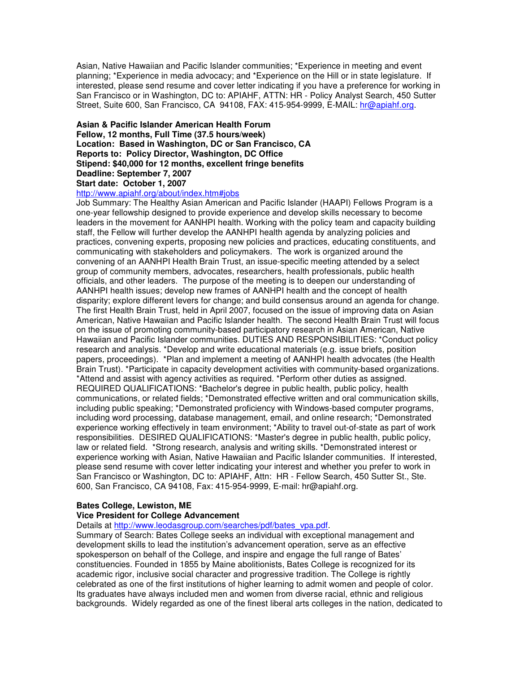Asian, Native Hawaiian and Pacific Islander communities; \*Experience in meeting and event planning; \*Experience in media advocacy; and \*Experience on the Hill or in state legislature. If interested, please send resume and cover letter indicating if you have a preference for working in San Francisco or in Washington, DC to: APIAHF, ATTN: HR - Policy Analyst Search, 450 Sutter Street, Suite 600, San Francisco, CA 94108, FAX: 415-954-9999, E-MAIL: hr@apiahf.org.

## **Asian & Pacific Islander American Health Forum Fellow, 12 months, Full Time (37.5 hours/week) Location: Based in Washington, DC or San Francisco, CA Reports to: Policy Director, Washington, DC Office Stipend: \$40,000 for 12 months, excellent fringe benefits Deadline: September 7, 2007 Start date: October 1, 2007**

#### http://www.apiahf.org/about/index.htm#jobs

Job Summary: The Healthy Asian American and Pacific Islander (HAAPI) Fellows Program is a one-year fellowship designed to provide experience and develop skills necessary to become leaders in the movement for AANHPI health. Working with the policy team and capacity building staff, the Fellow will further develop the AANHPI health agenda by analyzing policies and practices, convening experts, proposing new policies and practices, educating constituents, and communicating with stakeholders and policymakers. The work is organized around the convening of an AANHPI Health Brain Trust, an issue-specific meeting attended by a select group of community members, advocates, researchers, health professionals, public health officials, and other leaders. The purpose of the meeting is to deepen our understanding of AANHPI health issues; develop new frames of AANHPI health and the concept of health disparity; explore different levers for change; and build consensus around an agenda for change. The first Health Brain Trust, held in April 2007, focused on the issue of improving data on Asian American, Native Hawaiian and Pacific Islander health. The second Health Brain Trust will focus on the issue of promoting community-based participatory research in Asian American, Native Hawaiian and Pacific Islander communities. DUTIES AND RESPONSIBILITIES: \*Conduct policy research and analysis. \*Develop and write educational materials (e.g. issue briefs, position papers, proceedings). \*Plan and implement a meeting of AANHPI health advocates (the Health Brain Trust). \*Participate in capacity development activities with community-based organizations. \*Attend and assist with agency activities as required. \*Perform other duties as assigned. REQUIRED QUALIFICATIONS: \*Bachelor's degree in public health, public policy, health communications, or related fields; \*Demonstrated effective written and oral communication skills, including public speaking; \*Demonstrated proficiency with Windows-based computer programs, including word processing, database management, email, and online research; \*Demonstrated experience working effectively in team environment; \*Ability to travel out-of-state as part of work responsibilities. DESIRED QUALIFICATIONS: \*Master's degree in public health, public policy, law or related field. \*Strong research, analysis and writing skills. \*Demonstrated interest or experience working with Asian, Native Hawaiian and Pacific Islander communities. If interested, please send resume with cover letter indicating your interest and whether you prefer to work in San Francisco or Washington, DC to: APIAHF, Attn: HR - Fellow Search, 450 Sutter St., Ste. 600, San Francisco, CA 94108, Fax: 415-954-9999, E-mail: hr@apiahf.org.

#### **Bates College, Lewiston, ME Vice President for College Advancement**

Details at http://www.leodasgroup.com/searches/pdf/bates\_vpa.pdf.

Summary of Search: Bates College seeks an individual with exceptional management and development skills to lead the institution's advancement operation, serve as an effective spokesperson on behalf of the College, and inspire and engage the full range of Bates' constituencies. Founded in 1855 by Maine abolitionists, Bates College is recognized for its academic rigor, inclusive social character and progressive tradition. The College is rightly celebrated as one of the first institutions of higher learning to admit women and people of color. Its graduates have always included men and women from diverse racial, ethnic and religious backgrounds. Widely regarded as one of the finest liberal arts colleges in the nation, dedicated to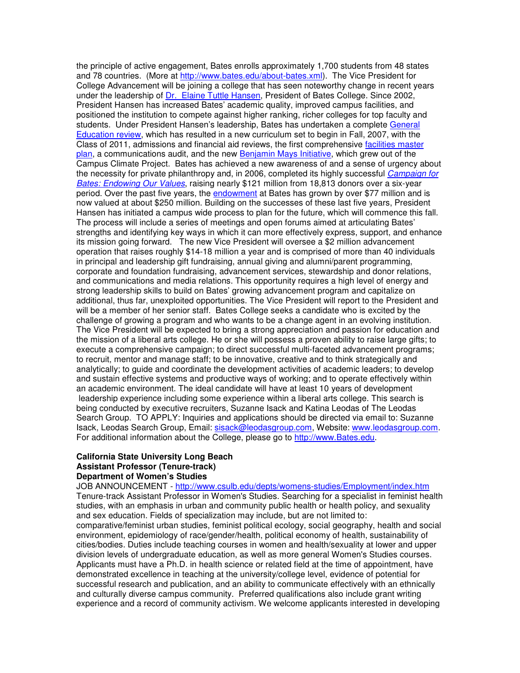the principle of active engagement, Bates enrolls approximately 1,700 students from 48 states and 78 countries. (More at http://www.bates.edu/about-bates.xml). The Vice President for College Advancement will be joining a college that has seen noteworthy change in recent years under the leadership of Dr. Elaine Tuttle Hansen, President of Bates College. Since 2002, President Hansen has increased Bates' academic quality, improved campus facilities, and positioned the institution to compete against higher ranking, richer colleges for top faculty and students. Under President Hansen's leadership, Bates has undertaken a complete General Education review, which has resulted in a new curriculum set to begin in Fall, 2007, with the Class of 2011, admissions and financial aid reviews, the first comprehensive facilities master plan, a communications audit, and the new Benjamin Mays Initiative, which grew out of the Campus Climate Project. Bates has achieved a new awareness of and a sense of urgency about the necessity for private philanthropy and, in 2006, completed its highly successful *Campaign for Bates: Endowing Our Values*, raising nearly \$121 million from 18,813 donors over a six-year period. Over the past five years, the endowment at Bates has grown by over \$77 million and is now valued at about \$250 million. Building on the successes of these last five years, President Hansen has initiated a campus wide process to plan for the future, which will commence this fall. The process will include a series of meetings and open forums aimed at articulating Bates' strengths and identifying key ways in which it can more effectively express, support, and enhance its mission going forward. The new Vice President will oversee a \$2 million advancement operation that raises roughly \$14-18 million a year and is comprised of more than 40 individuals in principal and leadership gift fundraising, annual giving and alumni/parent programming, corporate and foundation fundraising, advancement services, stewardship and donor relations, and communications and media relations. This opportunity requires a high level of energy and strong leadership skills to build on Bates' growing advancement program and capitalize on additional, thus far, unexploited opportunities. The Vice President will report to the President and will be a member of her senior staff. Bates College seeks a candidate who is excited by the challenge of growing a program and who wants to be a change agent in an evolving institution. The Vice President will be expected to bring a strong appreciation and passion for education and the mission of a liberal arts college. He or she will possess a proven ability to raise large gifts; to execute a comprehensive campaign; to direct successful multi-faceted advancement programs; to recruit, mentor and manage staff; to be innovative, creative and to think strategically and analytically; to guide and coordinate the development activities of academic leaders; to develop and sustain effective systems and productive ways of working; and to operate effectively within an academic environment. The ideal candidate will have at least 10 years of development leadership experience including some experience within a liberal arts college. This search is being conducted by executive recruiters, Suzanne Isack and Katina Leodas of The Leodas Search Group. TO APPLY: Inquiries and applications should be directed via email to: Suzanne Isack, Leodas Search Group, Email: sisack@leodasgroup.com, Website: www.leodasgroup.com. For additional information about the College, please go to http://www.Bates.edu.

#### **California State University Long Beach Assistant Professor (Tenure-track) Department of Women's Studies**

JOB ANNOUNCEMENT - http://www.csulb.edu/depts/womens-studies/Employment/index.htm Tenure-track Assistant Professor in Women's Studies. Searching for a specialist in feminist health studies, with an emphasis in urban and community public health or health policy, and sexuality and sex education. Fields of specialization may include, but are not limited to: comparative/feminist urban studies, feminist political ecology, social geography, health and social environment, epidemiology of race/gender/health, political economy of health, sustainability of cities/bodies. Duties include teaching courses in women and health/sexuality at lower and upper division levels of undergraduate education, as well as more general Women's Studies courses. Applicants must have a Ph.D. in health science or related field at the time of appointment, have demonstrated excellence in teaching at the university/college level, evidence of potential for successful research and publication, and an ability to communicate effectively with an ethnically and culturally diverse campus community. Preferred qualifications also include grant writing experience and a record of community activism. We welcome applicants interested in developing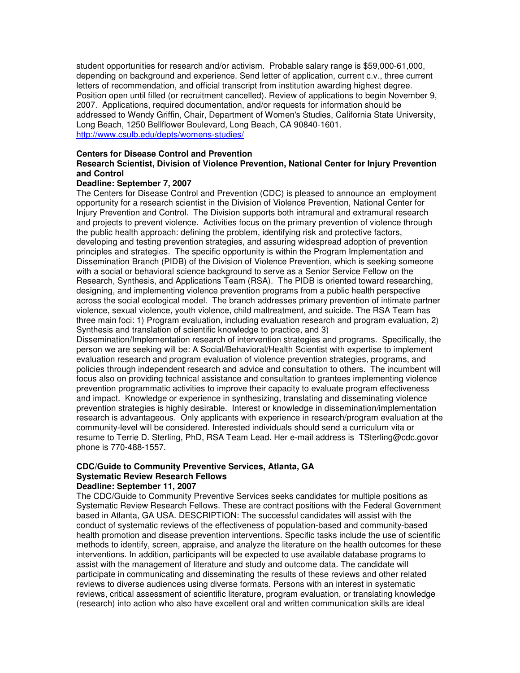student opportunities for research and/or activism. Probable salary range is \$59,000-61,000, depending on background and experience. Send letter of application, current c.v., three current letters of recommendation, and official transcript from institution awarding highest degree. Position open until filled (or recruitment cancelled). Review of applications to begin November 9, 2007. Applications, required documentation, and/or requests for information should be addressed to Wendy Griffin, Chair, Department of Women's Studies, California State University, Long Beach, 1250 Bellflower Boulevard, Long Beach, CA 90840-1601. http://www.csulb.edu/depts/womens-studies/

#### **Centers for Disease Control and Prevention**

# **Research Scientist, Division of Violence Prevention, National Center for Injury Prevention and Control**

#### **Deadline: September 7, 2007**

The Centers for Disease Control and Prevention (CDC) is pleased to announce an employment opportunity for a research scientist in the Division of Violence Prevention, National Center for Injury Prevention and Control. The Division supports both intramural and extramural research and projects to prevent violence. Activities focus on the primary prevention of violence through the public health approach: defining the problem, identifying risk and protective factors, developing and testing prevention strategies, and assuring widespread adoption of prevention principles and strategies. The specific opportunity is within the Program Implementation and Dissemination Branch (PIDB) of the Division of Violence Prevention, which is seeking someone with a social or behavioral science background to serve as a Senior Service Fellow on the Research, Synthesis, and Applications Team (RSA). The PIDB is oriented toward researching, designing, and implementing violence prevention programs from a public health perspective across the social ecological model. The branch addresses primary prevention of intimate partner violence, sexual violence, youth violence, child maltreatment, and suicide. The RSA Team has three main foci: 1) Program evaluation, including evaluation research and program evaluation, 2) Synthesis and translation of scientific knowledge to practice, and 3)

Dissemination/Implementation research of intervention strategies and programs. Specifically, the person we are seeking will be: A Social/Behavioral/Health Scientist with expertise to implement evaluation research and program evaluation of violence prevention strategies, programs, and policies through independent research and advice and consultation to others. The incumbent will focus also on providing technical assistance and consultation to grantees implementing violence prevention programmatic activities to improve their capacity to evaluate program effectiveness and impact. Knowledge or experience in synthesizing, translating and disseminating violence prevention strategies is highly desirable. Interest or knowledge in dissemination/implementation research is advantageous. Only applicants with experience in research/program evaluation at the community-level will be considered. Interested individuals should send a curriculum vita or resume to Terrie D. Sterling, PhD, RSA Team Lead. Her e-mail address is TSterling@cdc.govor phone is 770-488-1557.

#### **CDC/Guide to Community Preventive Services, Atlanta, GA Systematic Review Research Fellows Deadline: September 11, 2007**

The CDC/Guide to Community Preventive Services seeks candidates for multiple positions as Systematic Review Research Fellows. These are contract positions with the Federal Government based in Atlanta, GA USA. DESCRIPTION: The successful candidates will assist with the conduct of systematic reviews of the effectiveness of population-based and community-based health promotion and disease prevention interventions. Specific tasks include the use of scientific methods to identify, screen, appraise, and analyze the literature on the health outcomes for these interventions. In addition, participants will be expected to use available database programs to assist with the management of literature and study and outcome data. The candidate will participate in communicating and disseminating the results of these reviews and other related reviews to diverse audiences using diverse formats. Persons with an interest in systematic reviews, critical assessment of scientific literature, program evaluation, or translating knowledge (research) into action who also have excellent oral and written communication skills are ideal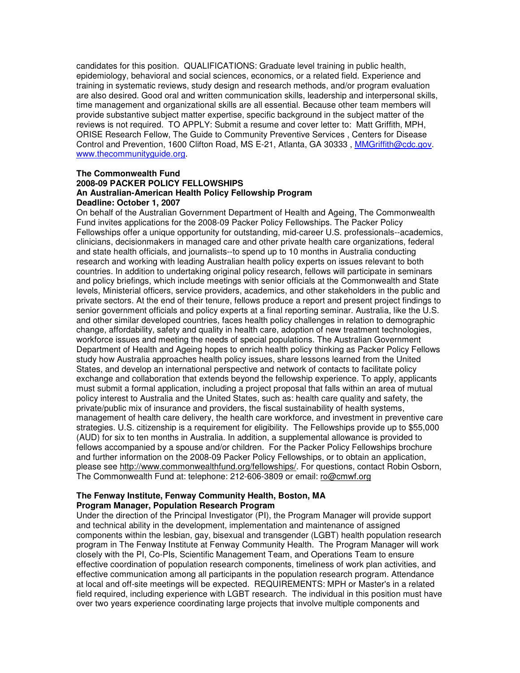candidates for this position. QUALIFICATIONS: Graduate level training in public health, epidemiology, behavioral and social sciences, economics, or a related field. Experience and training in systematic reviews, study design and research methods, and/or program evaluation are also desired. Good oral and written communication skills, leadership and interpersonal skills, time management and organizational skills are all essential. Because other team members will provide substantive subject matter expertise, specific background in the subject matter of the reviews is not required. TO APPLY: Submit a resume and cover letter to: Matt Griffith, MPH, ORISE Research Fellow, The Guide to Community Preventive Services , Centers for Disease Control and Prevention, 1600 Clifton Road, MS E-21, Atlanta, GA 30333 , MMGriffith@cdc.gov. www.thecommunityguide.org.

#### **The Commonwealth Fund 2008-09 PACKER POLICY FELLOWSHIPS An Australian-American Health Policy Fellowship Program Deadline: October 1, 2007**

On behalf of the Australian Government Department of Health and Ageing, The Commonwealth Fund invites applications for the 2008-09 Packer Policy Fellowships. The Packer Policy Fellowships offer a unique opportunity for outstanding, mid-career U.S. professionals--academics, clinicians, decisionmakers in managed care and other private health care organizations, federal and state health officials, and journalists--to spend up to 10 months in Australia conducting research and working with leading Australian health policy experts on issues relevant to both countries. In addition to undertaking original policy research, fellows will participate in seminars and policy briefings, which include meetings with senior officials at the Commonwealth and State levels, Ministerial officers, service providers, academics, and other stakeholders in the public and private sectors. At the end of their tenure, fellows produce a report and present project findings to senior government officials and policy experts at a final reporting seminar. Australia, like the U.S. and other similar developed countries, faces health policy challenges in relation to demographic change, affordability, safety and quality in health care, adoption of new treatment technologies, workforce issues and meeting the needs of special populations. The Australian Government Department of Health and Ageing hopes to enrich health policy thinking as Packer Policy Fellows study how Australia approaches health policy issues, share lessons learned from the United States, and develop an international perspective and network of contacts to facilitate policy exchange and collaboration that extends beyond the fellowship experience. To apply, applicants must submit a formal application, including a project proposal that falls within an area of mutual policy interest to Australia and the United States, such as: health care quality and safety, the private/public mix of insurance and providers, the fiscal sustainability of health systems, management of health care delivery, the health care workforce, and investment in preventive care strategies. U.S. citizenship is a requirement for eligibility. The Fellowships provide up to \$55,000 (AUD) for six to ten months in Australia. In addition, a supplemental allowance is provided to fellows accompanied by a spouse and/or children. For the Packer Policy Fellowships brochure and further information on the 2008-09 Packer Policy Fellowships, or to obtain an application, please see http://www.commonwealthfund.org/fellowships/. For questions, contact Robin Osborn, The Commonwealth Fund at: telephone: 212-606-3809 or email: ro@cmwf.org

# **The Fenway Institute, Fenway Community Health, Boston, MA Program Manager, Population Research Program**

Under the direction of the Principal Investigator (PI), the Program Manager will provide support and technical ability in the development, implementation and maintenance of assigned components within the lesbian, gay, bisexual and transgender (LGBT) health population research program in The Fenway Institute at Fenway Community Health. The Program Manager will work closely with the PI, Co-PIs, Scientific Management Team, and Operations Team to ensure effective coordination of population research components, timeliness of work plan activities, and effective communication among all participants in the population research program. Attendance at local and off-site meetings will be expected. REQUIREMENTS: MPH or Master's in a related field required, including experience with LGBT research. The individual in this position must have over two years experience coordinating large projects that involve multiple components and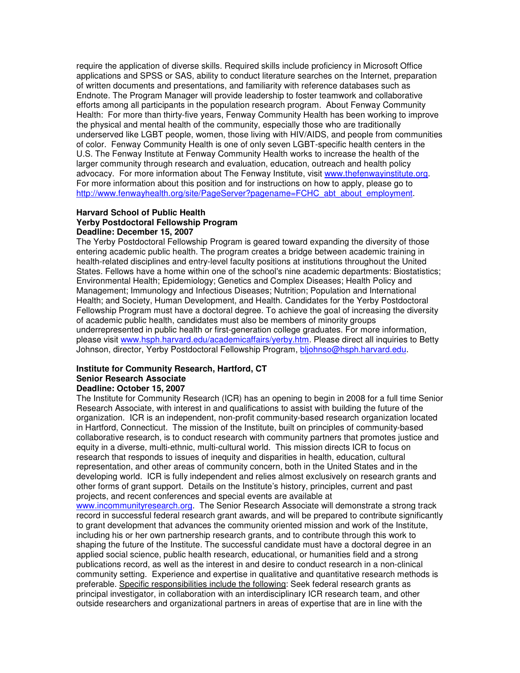require the application of diverse skills. Required skills include proficiency in Microsoft Office applications and SPSS or SAS, ability to conduct literature searches on the Internet, preparation of written documents and presentations, and familiarity with reference databases such as Endnote. The Program Manager will provide leadership to foster teamwork and collaborative efforts among all participants in the population research program. About Fenway Community Health: For more than thirty-five years, Fenway Community Health has been working to improve the physical and mental health of the community, especially those who are traditionally underserved like LGBT people, women, those living with HIV/AIDS, and people from communities of color. Fenway Community Health is one of only seven LGBT-specific health centers in the U.S. The Fenway Institute at Fenway Community Health works to increase the health of the larger community through research and evaluation, education, outreach and health policy advocacy. For more information about The Fenway Institute, visit www.thefenwayinstitute.org. For more information about this position and for instructions on how to apply, please go to http://www.fenwayhealth.org/site/PageServer?pagename=FCHC\_abt\_about\_employment.

#### **Harvard School of Public Health Yerby Postdoctoral Fellowship Program Deadline: December 15, 2007**

The Yerby Postdoctoral Fellowship Program is geared toward expanding the diversity of those entering academic public health. The program creates a bridge between academic training in health-related disciplines and entry-level faculty positions at institutions throughout the United States. Fellows have a home within one of the school's nine academic departments: Biostatistics; Environmental Health; Epidemiology; Genetics and Complex Diseases; Health Policy and Management; Immunology and Infectious Diseases; Nutrition; Population and International Health; and Society, Human Development, and Health. Candidates for the Yerby Postdoctoral Fellowship Program must have a doctoral degree. To achieve the goal of increasing the diversity of academic public health, candidates must also be members of minority groups underrepresented in public health or first-generation college graduates. For more information, please visit www.hsph.harvard.edu/academicaffairs/yerby.htm. Please direct all inquiries to Betty Johnson, director, Yerby Postdoctoral Fellowship Program, bljohnso@hsph.harvard.edu.

#### **Institute for Community Research, Hartford, CT Senior Research Associate Deadline: October 15, 2007**

The Institute for Community Research (ICR) has an opening to begin in 2008 for a full time Senior Research Associate, with interest in and qualifications to assist with building the future of the organization. ICR is an independent, non-profit community-based research organization located in Hartford, Connecticut. The mission of the Institute, built on principles of community-based collaborative research, is to conduct research with community partners that promotes justice and equity in a diverse, multi-ethnic, multi-cultural world. This mission directs ICR to focus on research that responds to issues of inequity and disparities in health, education, cultural representation, and other areas of community concern, both in the United States and in the developing world. ICR is fully independent and relies almost exclusively on research grants and other forms of grant support. Details on the Institute's history, principles, current and past projects, and recent conferences and special events are available at

www.incommunityresearch.org. The Senior Research Associate will demonstrate a strong track record in successful federal research grant awards, and will be prepared to contribute significantly to grant development that advances the community oriented mission and work of the Institute, including his or her own partnership research grants, and to contribute through this work to shaping the future of the Institute. The successful candidate must have a doctoral degree in an applied social science, public health research, educational, or humanities field and a strong publications record, as well as the interest in and desire to conduct research in a non-clinical community setting. Experience and expertise in qualitative and quantitative research methods is preferable. Specific responsibilities include the following: Seek federal research grants as principal investigator, in collaboration with an interdisciplinary ICR research team, and other outside researchers and organizational partners in areas of expertise that are in line with the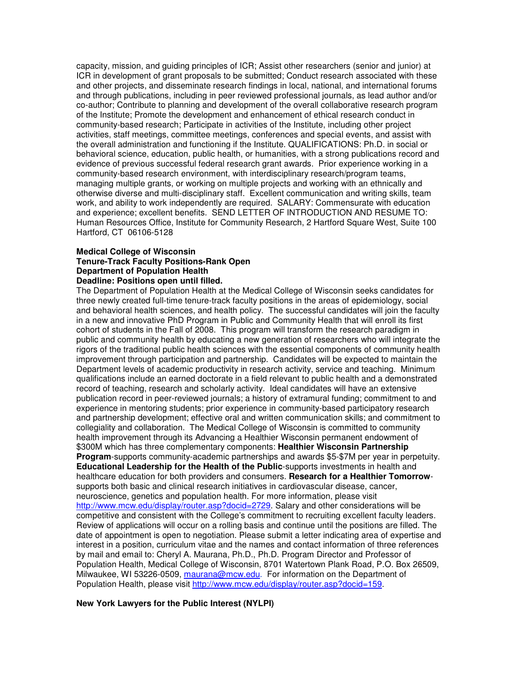capacity, mission, and guiding principles of ICR; Assist other researchers (senior and junior) at ICR in development of grant proposals to be submitted; Conduct research associated with these and other projects, and disseminate research findings in local, national, and international forums and through publications, including in peer reviewed professional journals, as lead author and/or co-author; Contribute to planning and development of the overall collaborative research program of the Institute; Promote the development and enhancement of ethical research conduct in community-based research; Participate in activities of the Institute, including other project activities, staff meetings, committee meetings, conferences and special events, and assist with the overall administration and functioning if the Institute. QUALIFICATIONS: Ph.D. in social or behavioral science, education, public health, or humanities, with a strong publications record and evidence of previous successful federal research grant awards. Prior experience working in a community-based research environment, with interdisciplinary research/program teams, managing multiple grants, or working on multiple projects and working with an ethnically and otherwise diverse and multi-disciplinary staff. Excellent communication and writing skills, team work, and ability to work independently are required. SALARY: Commensurate with education and experience; excellent benefits. SEND LETTER OF INTRODUCTION AND RESUME TO: Human Resources Office, Institute for Community Research, 2 Hartford Square West, Suite 100 Hartford, CT 06106-5128

#### **Medical College of Wisconsin Tenure-Track Faculty Positions-Rank Open Department of Population Health Deadline: Positions open until filled.**

The Department of Population Health at the Medical College of Wisconsin seeks candidates for three newly created full-time tenure-track faculty positions in the areas of epidemiology, social and behavioral health sciences, and health policy. The successful candidates will join the faculty in a new and innovative PhD Program in Public and Community Health that will enroll its first cohort of students in the Fall of 2008. This program will transform the research paradigm in public and community health by educating a new generation of researchers who will integrate the rigors of the traditional public health sciences with the essential components of community health improvement through participation and partnership. Candidates will be expected to maintain the Department levels of academic productivity in research activity, service and teaching. Minimum qualifications include an earned doctorate in a field relevant to public health and a demonstrated record of teaching, research and scholarly activity. Ideal candidates will have an extensive publication record in peer-reviewed journals; a history of extramural funding; commitment to and experience in mentoring students; prior experience in community-based participatory research and partnership development; effective oral and written communication skills; and commitment to collegiality and collaboration. The Medical College of Wisconsin is committed to community health improvement through its Advancing a Healthier Wisconsin permanent endowment of \$300M which has three complementary components: **Healthier Wisconsin Partnership Program**-supports community-academic partnerships and awards \$5-\$7M per year in perpetuity. **Educational Leadership for the Health of the Public**-supports investments in health and healthcare education for both providers and consumers. **Research for a Healthier Tomorrow**supports both basic and clinical research initiatives in cardiovascular disease, cancer, neuroscience, genetics and population health. For more information, please visit http://www.mcw.edu/display/router.asp?docid=2729. Salary and other considerations will be competitive and consistent with the College's commitment to recruiting excellent faculty leaders. Review of applications will occur on a rolling basis and continue until the positions are filled. The date of appointment is open to negotiation. Please submit a letter indicating area of expertise and interest in a position, curriculum vitae and the names and contact information of three references by mail and email to: Cheryl A. Maurana, Ph.D., Ph.D. Program Director and Professor of Population Health, Medical College of Wisconsin, 8701 Watertown Plank Road, P.O. Box 26509, Milwaukee, WI 53226-0509, maurana@mcw.edu. For information on the Department of Population Health, please visit http://www.mcw.edu/display/router.asp?docid=159.

#### **New York Lawyers for the Public Interest (NYLPI)**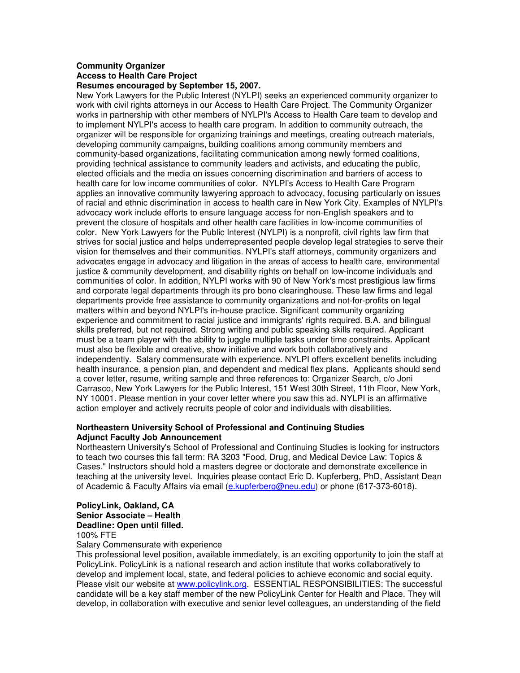#### **Community Organizer Access to Health Care Project Resumes encouraged by September 15, 2007.**

New York Lawyers for the Public Interest (NYLPI) seeks an experienced community organizer to work with civil rights attorneys in our Access to Health Care Project. The Community Organizer works in partnership with other members of NYLPI's Access to Health Care team to develop and to implement NYLPI's access to health care program. In addition to community outreach, the organizer will be responsible for organizing trainings and meetings, creating outreach materials, developing community campaigns, building coalitions among community members and community-based organizations, facilitating communication among newly formed coalitions, providing technical assistance to community leaders and activists, and educating the public, elected officials and the media on issues concerning discrimination and barriers of access to health care for low income communities of color. NYLPI's Access to Health Care Program applies an innovative community lawyering approach to advocacy, focusing particularly on issues of racial and ethnic discrimination in access to health care in New York City. Examples of NYLPI's advocacy work include efforts to ensure language access for non-English speakers and to prevent the closure of hospitals and other health care facilities in low-income communities of color. New York Lawyers for the Public Interest (NYLPI) is a nonprofit, civil rights law firm that strives for social justice and helps underrepresented people develop legal strategies to serve their vision for themselves and their communities. NYLPI's staff attorneys, community organizers and advocates engage in advocacy and litigation in the areas of access to health care, environmental justice & community development, and disability rights on behalf on low-income individuals and communities of color. In addition, NYLPI works with 90 of New York's most prestigious law firms and corporate legal departments through its pro bono clearinghouse. These law firms and legal departments provide free assistance to community organizations and not-for-profits on legal matters within and beyond NYLPI's in-house practice. Significant community organizing experience and commitment to racial justice and immigrants'rights required. B.A. and bilingual skills preferred, but not required. Strong writing and public speaking skills required. Applicant must be a team player with the ability to juggle multiple tasks under time constraints. Applicant must also be flexible and creative, show initiative and work both collaboratively and independently. Salary commensurate with experience. NYLPI offers excellent benefits including health insurance, a pension plan, and dependent and medical flex plans. Applicants should send a cover letter, resume, writing sample and three references to: Organizer Search, c/o Joni Carrasco, New York Lawyers for the Public Interest, 151 West 30th Street, 11th Floor, New York, NY 10001. Please mention in your cover letter where you saw this ad. NYLPI is an affirmative action employer and actively recruits people of color and individuals with disabilities.

# **Northeastern University School of Professional and Continuing Studies Adjunct Faculty Job Announcement**

Northeastern University's School of Professional and Continuing Studies is looking for instructors to teach two courses this fall term: RA 3203 "Food, Drug, and Medical Device Law: Topics & Cases." Instructors should hold a masters degree or doctorate and demonstrate excellence in teaching at the university level. Inquiries please contact Eric D. Kupferberg, PhD, Assistant Dean of Academic & Faculty Affairs via email (e.kupferberg@neu.edu) or phone (617-373-6018).

# **PolicyLink, Oakland, CA Senior Associate – Health Deadline: Open until filled.**

100% FTE

Salary Commensurate with experience

This professional level position, available immediately, is an exciting opportunity to join the staff at PolicyLink. PolicyLink is a national research and action institute that works collaboratively to develop and implement local, state, and federal policies to achieve economic and social equity. Please visit our website at www.policylink.org. ESSENTIAL RESPONSIBILITIES: The successful candidate will be a key staff member of the new PolicyLink Center for Health and Place. They will develop, in collaboration with executive and senior level colleagues, an understanding of the field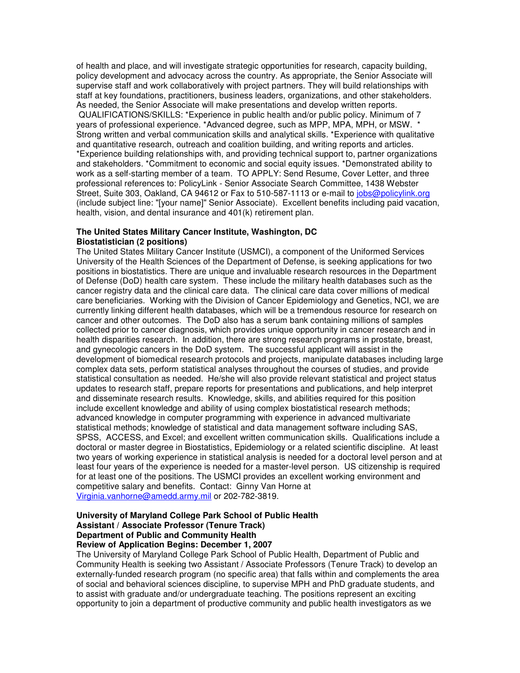of health and place, and will investigate strategic opportunities for research, capacity building, policy development and advocacy across the country. As appropriate, the Senior Associate will supervise staff and work collaboratively with project partners. They will build relationships with staff at key foundations, practitioners, business leaders, organizations, and other stakeholders. As needed, the Senior Associate will make presentations and develop written reports. QUALIFICATIONS/SKILLS: \*Experience in public health and/or public policy. Minimum of 7 years of professional experience. \*Advanced degree, such as MPP, MPA, MPH, or MSW. \* Strong written and verbal communication skills and analytical skills. \*Experience with qualitative and quantitative research, outreach and coalition building, and writing reports and articles. \*Experience building relationships with, and providing technical support to, partner organizations and stakeholders. \*Commitment to economic and social equity issues. \*Demonstrated ability to work as a self-starting member of a team. TO APPLY: Send Resume, Cover Letter, and three professional references to: PolicyLink - Senior Associate Search Committee, 1438 Webster Street, Suite 303, Oakland, CA 94612 or Fax to 510-587-1113 or e-mail to jobs@policylink.org (include subject line: "[your name]" Senior Associate). Excellent benefits including paid vacation, health, vision, and dental insurance and 401(k) retirement plan.

#### **The United States Military Cancer Institute, Washington, DC Biostatistician (2 positions)**

The United States Military Cancer Institute (USMCI), a component of the Uniformed Services University of the Health Sciences of the Department of Defense, is seeking applications for two positions in biostatistics. There are unique and invaluable research resources in the Department of Defense (DoD) health care system. These include the military health databases such as the cancer registry data and the clinical care data. The clinical care data cover millions of medical care beneficiaries. Working with the Division of Cancer Epidemiology and Genetics, NCI, we are currently linking different health databases, which will be a tremendous resource for research on cancer and other outcomes. The DoD also has a serum bank containing millions of samples collected prior to cancer diagnosis, which provides unique opportunity in cancer research and in health disparities research. In addition, there are strong research programs in prostate, breast, and gynecologic cancers in the DoD system. The successful applicant will assist in the development of biomedical research protocols and projects, manipulate databases including large complex data sets, perform statistical analyses throughout the courses of studies, and provide statistical consultation as needed. He/she will also provide relevant statistical and project status updates to research staff, prepare reports for presentations and publications, and help interpret and disseminate research results. Knowledge, skills, and abilities required for this position include excellent knowledge and ability of using complex biostatistical research methods; advanced knowledge in computer programming with experience in advanced multivariate statistical methods; knowledge of statistical and data management software including SAS, SPSS, ACCESS, and Excel; and excellent written communication skills. Qualifications include a doctoral or master degree in Biostatistics, Epidemiology or a related scientific discipline. At least two years of working experience in statistical analysis is needed for a doctoral level person and at least four years of the experience is needed for a master-level person. US citizenship is required for at least one of the positions. The USMCI provides an excellent working environment and competitive salary and benefits. Contact: Ginny Van Horne at Virginia.vanhorne@amedd.army.mil or 202-782-3819.

#### **University of Maryland College Park School of Public Health Assistant / Associate Professor (Tenure Track) Department of Public and Community Health Review of Application Begins: December 1, 2007**

The University of Maryland College Park School of Public Health, Department of Public and Community Health is seeking two Assistant / Associate Professors (Tenure Track) to develop an externally-funded research program (no specific area) that falls within and complements the area of social and behavioral sciences discipline, to supervise MPH and PhD graduate students, and to assist with graduate and/or undergraduate teaching. The positions represent an exciting opportunity to join a department of productive community and public health investigators as we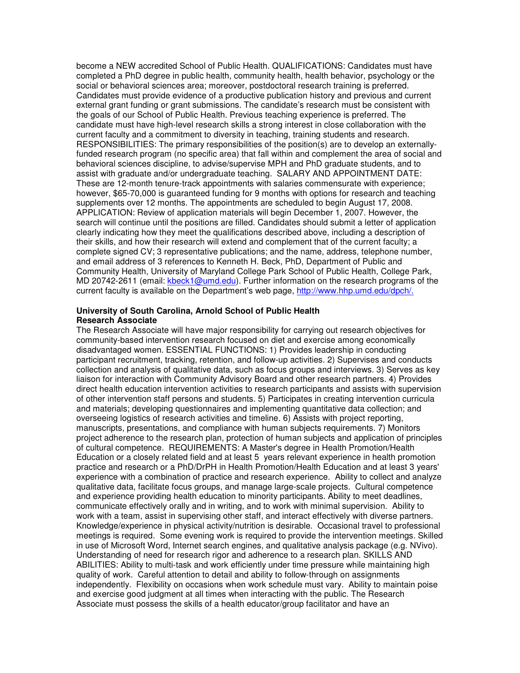become a NEW accredited School of Public Health. QUALIFICATIONS: Candidates must have completed a PhD degree in public health, community health, health behavior, psychology or the social or behavioral sciences area; moreover, postdoctoral research training is preferred. Candidates must provide evidence of a productive publication history and previous and current external grant funding or grant submissions. The candidate's research must be consistent with the goals of our School of Public Health. Previous teaching experience is preferred. The candidate must have high-level research skills a strong interest in close collaboration with the current faculty and a commitment to diversity in teaching, training students and research. RESPONSIBILITIES: The primary responsibilities of the position(s) are to develop an externallyfunded research program (no specific area) that fall within and complement the area of social and behavioral sciences discipline, to advise/supervise MPH and PhD graduate students, and to assist with graduate and/or undergraduate teaching. SALARY AND APPOINTMENT DATE: These are 12-month tenure-track appointments with salaries commensurate with experience; however, \$65-70,000 is guaranteed funding for 9 months with options for research and teaching supplements over 12 months. The appointments are scheduled to begin August 17, 2008. APPLICATION: Review of application materials will begin December 1, 2007. However, the search will continue until the positions are filled. Candidates should submit a letter of application clearly indicating how they meet the qualifications described above, including a description of their skills, and how their research will extend and complement that of the current faculty; a complete signed CV; 3 representative publications; and the name, address, telephone number, and email address of 3 references to Kenneth H. Beck, PhD, Department of Public and Community Health, University of Maryland College Park School of Public Health, College Park, MD 20742-2611 (email: kbeck1@umd.edu). Further information on the research programs of the current faculty is available on the Department's web page, http://www.hhp.umd.edu/dpch/.

#### **University of South Carolina, Arnold School of Public Health Research Associate**

The Research Associate will have major responsibility for carrying out research objectives for community-based intervention research focused on diet and exercise among economically disadvantaged women. ESSENTIAL FUNCTIONS: 1) Provides leadership in conducting participant recruitment, tracking, retention, and follow-up activities. 2) Supervises and conducts collection and analysis of qualitative data, such as focus groups and interviews. 3) Serves as key liaison for interaction with Community Advisory Board and other research partners. 4) Provides direct health education intervention activities to research participants and assists with supervision of other intervention staff persons and students. 5) Participates in creating intervention curricula and materials; developing questionnaires and implementing quantitative data collection; and overseeing logistics of research activities and timeline. 6) Assists with project reporting, manuscripts, presentations, and compliance with human subjects requirements. 7) Monitors project adherence to the research plan, protection of human subjects and application of principles of cultural competence. REQUIREMENTS: A Master's degree in Health Promotion/Health Education or a closely related field and at least 5 years relevant experience in health promotion practice and research or a PhD/DrPH in Health Promotion/Health Education and at least 3 years' experience with a combination of practice and research experience. Ability to collect and analyze qualitative data, facilitate focus groups, and manage large-scale projects. Cultural competence and experience providing health education to minority participants. Ability to meet deadlines, communicate effectively orally and in writing, and to work with minimal supervision. Ability to work with a team, assist in supervising other staff, and interact effectively with diverse partners. Knowledge/experience in physical activity/nutrition is desirable. Occasional travel to professional meetings is required. Some evening work is required to provide the intervention meetings. Skilled in use of Microsoft Word, Internet search engines, and qualitative analysis package (e.g. NVivo). Understanding of need for research rigor and adherence to a research plan. SKILLS AND ABILITIES: Ability to multi-task and work efficiently under time pressure while maintaining high quality of work. Careful attention to detail and ability to follow-through on assignments independently. Flexibility on occasions when work schedule must vary. Ability to maintain poise and exercise good judgment at all times when interacting with the public. The Research Associate must possess the skills of a health educator/group facilitator and have an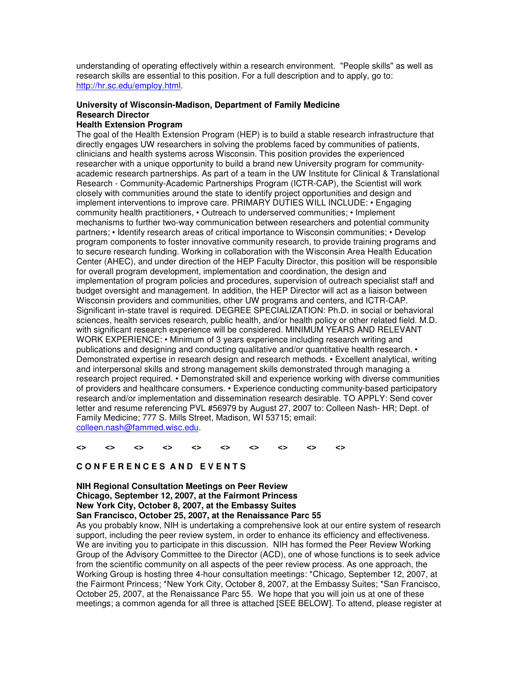understanding of operating effectively within a research environment. "People skills" as well as research skills are essential to this position. For a full description and to apply, go to: http://hr.sc.edu/employ.html.

# **University of Wisconsin-Madison, Department of Family Medicine Research Director**

# **Health Extension Program**

The goal of the Health Extension Program (HEP) is to build a stable research infrastructure that directly engages UW researchers in solving the problems faced by communities of patients, clinicians and health systems across Wisconsin. This position provides the experienced researcher with a unique opportunity to build a brand new University program for communityacademic research partnerships. As part of a team in the UW Institute for Clinical & Translational Research - Community-Academic Partnerships Program (ICTR-CAP), the Scientist will work closely with communities around the state to identify project opportunities and design and implement interventions to improve care. PRIMARY DUTIES WILL INCLUDE: • Engaging community health practitioners, • Outreach to underserved communities; • Implement mechanisms to further two-way communication between researchers and potential community partners; • Identify research areas of critical importance to Wisconsin communities; • Develop program components to foster innovative community research, to provide training programs and to secure research funding. Working in collaboration with the Wisconsin Area Health Education Center (AHEC), and under direction of the HEP Faculty Director, this position will be responsible for overall program development, implementation and coordination, the design and implementation of program policies and procedures, supervision of outreach specialist staff and budget oversight and management. In addition, the HEP Director will act as a liaison between Wisconsin providers and communities, other UW programs and centers, and ICTR-CAP. Significant in-state travel is required. DEGREE SPECIALIZATION: Ph.D. in social or behavioral sciences, health services research, public health, and/or health policy or other related field. M.D. with significant research experience will be considered. MINIMUM YEARS AND RELEVANT WORK EXPERIENCE: • Minimum of 3 years experience including research writing and publications and designing and conducting qualitative and/or quantitative health research. • Demonstrated expertise in research design and research methods. • Excellent analytical, writing and interpersonal skills and strong management skills demonstrated through managing a research project required. • Demonstrated skill and experience working with diverse communities of providers and healthcare consumers. • Experience conducting community-based participatory research and/or implementation and dissemination research desirable. TO APPLY: Send cover letter and resume referencing PVL #56979 by August 27, 2007 to: Colleen Nash- HR; Dept. of Family Medicine; 777 S. Mills Street, Madison, WI 53715; email: colleen.nash@fammed.wisc.edu.

#### **<> <> <> <> <> <> <> <> <> <>**

#### **C O N F E R E N C E S A N D E V E N T S**

**NIH Regional Consultation Meetings on Peer Review Chicago, September 12, 2007, at the Fairmont Princess New York City, October 8, 2007, at the Embassy Suites San Francisco, October 25, 2007, at the Renaissance Parc 55**

As you probably know, NIH is undertaking a comprehensive look at our entire system of research support, including the peer review system, in order to enhance its efficiency and effectiveness. We are inviting you to participate in this discussion. NIH has formed the Peer Review Working Group of the Advisory Committee to the Director (ACD), one of whose functions is to seek advice from the scientific community on all aspects of the peer review process. As one approach, the Working Group is hosting three 4-hour consultation meetings: \*Chicago, September 12, 2007, at the Fairmont Princess; \*New York City, October 8, 2007, at the Embassy Suites; \*San Francisco, October 25, 2007, at the Renaissance Parc 55. We hope that you will join us at one of these meetings; a common agenda for all three is attached [SEE BELOW]. To attend, please register at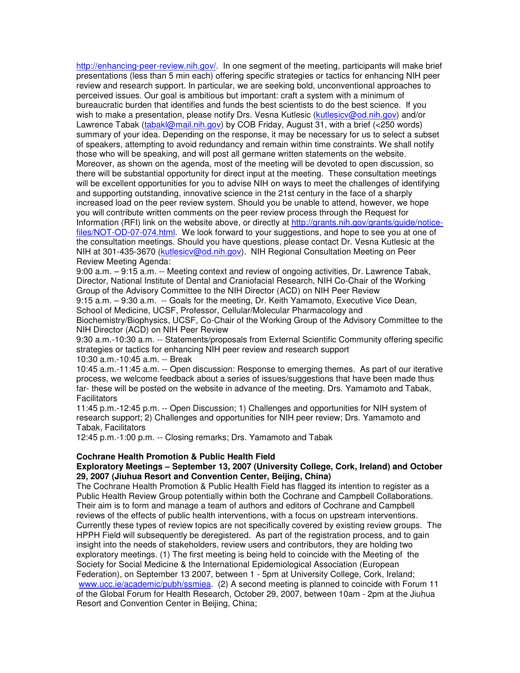http://enhancing-peer-review.nih.gov/. In one segment of the meeting, participants will make brief presentations (less than 5 min each) offering specific strategies or tactics for enhancing NIH peer review and research support. In particular, we are seeking bold, unconventional approaches to perceived issues. Our goal is ambitious but important: craft a system with a minimum of bureaucratic burden that identifies and funds the best scientists to do the best science. If you wish to make a presentation, please notify Drs. Vesna Kutlesic (kutlesicv@od.nih.gov) and/or Lawrence Tabak (tabakl@mail.nih.gov) by COB Friday, August 31, with a brief (<250 words) summary of your idea. Depending on the response, it may be necessary for us to select a subset of speakers, attempting to avoid redundancy and remain within time constraints. We shall notify those who will be speaking, and will post all germane written statements on the website. Moreover, as shown on the agenda, most of the meeting will be devoted to open discussion, so there will be substantial opportunity for direct input at the meeting. These consultation meetings will be excellent opportunities for you to advise NIH on ways to meet the challenges of identifying and supporting outstanding, innovative science in the 21st century in the face of a sharply increased load on the peer review system. Should you be unable to attend, however, we hope you will contribute written comments on the peer review process through the Request for Information (RFI) link on the website above, or directly at http://grants.nih.gov/grants/guide/noticefiles/NOT-OD-07-074.html. We look forward to your suggestions, and hope to see you at one of the consultation meetings. Should you have questions, please contact Dr. Vesna Kutlesic at the NIH at 301-435-3670 (kutlesicv@od.nih.gov). NIH Regional Consultation Meeting on Peer Review Meeting Agenda:

9:00 a.m. – 9:15 a.m. -- Meeting context and review of ongoing activities, Dr. Lawrence Tabak, Director, National Institute of Dental and Craniofacial Research, NIH Co-Chair of the Working Group of the Advisory Committee to the NIH Director (ACD) on NIH Peer Review

9:15 a.m. – 9:30 a.m. -- Goals for the meeting, Dr. Keith Yamamoto, Executive Vice Dean, School of Medicine, UCSF, Professor, Cellular/Molecular Pharmacology and

Biochemistry/Biophysics, UCSF, Co-Chair of the Working Group of the Advisory Committee to the NIH Director (ACD) on NIH Peer Review

9:30 a.m.-10:30 a.m. -- Statements/proposals from External Scientific Community offering specific strategies or tactics for enhancing NIH peer review and research support

10:30 a.m.-10:45 a.m. -- Break

10:45 a.m.-11:45 a.m. -- Open discussion: Response to emerging themes. As part of our iterative process, we welcome feedback about a series of issues/suggestions that have been made thus far- these will be posted on the website in advance of the meeting. Drs. Yamamoto and Tabak, **Facilitators** 

11:45 p.m.-12:45 p.m. -- Open Discussion; 1) Challenges and opportunities for NIH system of research support; 2) Challenges and opportunities for NIH peer review; Drs. Yamamoto and Tabak, Facilitators

12:45 p.m.-1:00 p.m. -- Closing remarks; Drs. Yamamoto and Tabak

#### **Cochrane Health Promotion & Public Health Field**

#### **Exploratory Meetings – September 13, 2007 (University College, Cork, Ireland) and October 29, 2007 (Jiuhua Resort and Convention Center, Beijing, China)**

The Cochrane Health Promotion & Public Health Field has flagged its intention to register as a Public Health Review Group potentially within both the Cochrane and Campbell Collaborations. Their aim is to form and manage a team of authors and editors of Cochrane and Campbell reviews of the effects of public health interventions, with a focus on upstream interventions. Currently these types of review topics are not specifically covered by existing review groups. The HPPH Field will subsequently be deregistered. As part of the registration process, and to gain insight into the needs of stakeholders, review users and contributors, they are holding two exploratory meetings. (1) The first meeting is being held to coincide with the Meeting of the Society for Social Medicine & the International Epidemiological Association (European Federation), on September 13 2007, between 1 - 5pm at University College, Cork, Ireland; www.ucc.ie/academic/pubh/ssmiea. (2) A second meeting is planned to coincide with Forum 11 of the Global Forum for Health Research, October 29, 2007, between 10am - 2pm at the Jiuhua Resort and Convention Center in Beijing, China;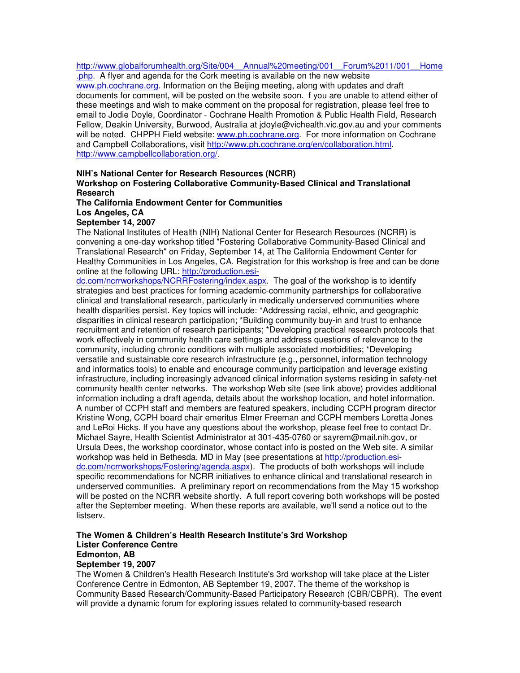http://www.globalforumhealth.org/Site/004 Annual%20meeting/001 Forum%2011/001 Home

.php. A flyer and agenda for the Cork meeting is available on the new website www.ph.cochrane.org. Information on the Beijing meeting, along with updates and draft documents for comment, will be posted on the website soon. f you are unable to attend either of these meetings and wish to make comment on the proposal for registration, please feel free to email to Jodie Doyle, Coordinator - Cochrane Health Promotion & Public Health Field, Research Fellow, Deakin University, Burwood, Australia at jdoyle@vichealth.vic.gov.au and your comments will be noted. CHPPH Field website: www.ph.cochrane.org. For more information on Cochrane and Campbell Collaborations, visit http://www.ph.cochrane.org/en/collaboration.html. http://www.campbellcollaboration.org/.

#### **NIH's National Center for Research Resources (NCRR) Workshop on Fostering Collaborative Community-Based Clinical and Translational Research**

#### **The California Endowment Center for Communities Los Angeles, CA September 14, 2007**

The National Institutes of Health (NIH) National Center for Research Resources (NCRR) is convening a one-day workshop titled "Fostering Collaborative Community-Based Clinical and Translational Research" on Friday, September 14, at The California Endowment Center for Healthy Communities in Los Angeles, CA. Registration for this workshop is free and can be done online at the following URL: http://production.esi-

dc.com/ncrrworkshops/NCRRFostering/index.aspx. The goal of the workshop is to identify strategies and best practices for forming academic-community partnerships for collaborative clinical and translational research, particularly in medically underserved communities where health disparities persist. Key topics will include: \*Addressing racial, ethnic, and geographic disparities in clinical research participation; \*Building community buy-in and trust to enhance recruitment and retention of research participants; \*Developing practical research protocols that work effectively in community health care settings and address questions of relevance to the community, including chronic conditions with multiple associated morbidities; \*Developing versatile and sustainable core research infrastructure (e.g., personnel, information technology and informatics tools) to enable and encourage community participation and leverage existing infrastructure, including increasingly advanced clinical information systems residing in safety-net community health center networks. The workshop Web site (see link above) provides additional information including a draft agenda, details about the workshop location, and hotel information. A number of CCPH staff and members are featured speakers, including CCPH program director Kristine Wong, CCPH board chair emeritus Elmer Freeman and CCPH members Loretta Jones and LeRoi Hicks. If you have any questions about the workshop, please feel free to contact Dr. Michael Sayre, Health Scientist Administrator at 301-435-0760 or sayrem@mail.nih.gov, or Ursula Dees, the workshop coordinator, whose contact info is posted on the Web site. A similar workshop was held in Bethesda, MD in May (see presentations at http://production.esidc.com/ncrrworkshops/Fostering/agenda.aspx). The products of both workshops will include specific recommendations for NCRR initiatives to enhance clinical and translational research in underserved communities. A preliminary report on recommendations from the May 15 workshop will be posted on the NCRR website shortly. A full report covering both workshops will be posted after the September meeting. When these reports are available, we'll send a notice out to the listserv.

## **The Women & Children's Health Research Institute's 3rd Workshop Lister Conference Centre Edmonton, AB**

## **September 19, 2007**

The Women & Children's Health Research Institute's 3rd workshop will take place at the Lister Conference Centre in Edmonton, AB September 19, 2007. The theme of the workshop is Community Based Research/Community-Based Participatory Research (CBR/CBPR). The event will provide a dynamic forum for exploring issues related to community-based research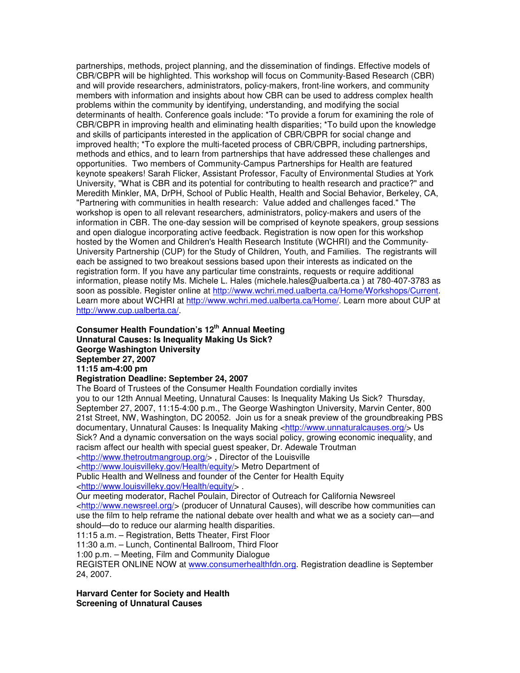partnerships, methods, project planning, and the dissemination of findings. Effective models of CBR/CBPR will be highlighted. This workshop will focus on Community-Based Research (CBR) and will provide researchers, administrators, policy-makers, front-line workers, and community members with information and insights about how CBR can be used to address complex health problems within the community by identifying, understanding, and modifying the social determinants of health. Conference goals include: \*To provide a forum for examining the role of CBR/CBPR in improving health and eliminating health disparities; \*To build upon the knowledge and skills of participants interested in the application of CBR/CBPR for social change and improved health; \*To explore the multi-faceted process of CBR/CBPR, including partnerships, methods and ethics, and to learn from partnerships that have addressed these challenges and opportunities. Two members of Community-Campus Partnerships for Health are featured keynote speakers! Sarah Flicker, Assistant Professor, Faculty of Environmental Studies at York University, "What is CBR and its potential for contributing to health research and practice?" and Meredith Minkler, MA, DrPH, School of Public Health, Health and Social Behavior, Berkeley, CA, "Partnering with communities in health research: Value added and challenges faced." The workshop is open to all relevant researchers, administrators, policy-makers and users of the information in CBR. The one-day session will be comprised of keynote speakers, group sessions and open dialogue incorporating active feedback. Registration is now open for this workshop hosted by the Women and Children's Health Research Institute (WCHRI) and the Community-University Partnership (CUP) for the Study of Children, Youth, and Families. The registrants will each be assigned to two breakout sessions based upon their interests as indicated on the registration form. If you have any particular time constraints, requests or require additional information, please notify Ms. Michele L. Hales (michele.hales@ualberta.ca ) at 780-407-3783 as soon as possible. Register online at http://www.wchri.med.ualberta.ca/Home/Workshops/Current. Learn more about WCHRI at http://www.wchri.med.ualberta.ca/Home/. Learn more about CUP at http://www.cup.ualberta.ca/.

#### **Consumer Health Foundation's 12 th Annual Meeting Unnatural Causes: Is Inequality Making Us Sick? George Washington University September 27, 2007 11:15 am-4:00 pm Registration Deadline: September 24, 2007**

The Board of Trustees of the Consumer Health Foundation cordially invites you to our 12th Annual Meeting, Unnatural Causes: Is Inequality Making Us Sick? Thursday, September 27, 2007, 11:15-4:00 p.m., The George Washington University, Marvin Center, 800 21st Street, NW, Washington, DC 20052. Join us for a sneak preview of the groundbreaking PBS documentary, Unnatural Causes: Is Inequality Making <http://www.unnaturalcauses.org/> Us Sick? And a dynamic conversation on the ways social policy, growing economic inequality, and racism affect our health with special guest speaker, Dr. Adewale Troutman <http://www.thetroutmangroup.org/> , Director of the Louisville

<http://www.louisvilleky.gov/Health/equity/> Metro Department of

Public Health and Wellness and founder of the Center for Health Equity

<http://www.louisvilleky.gov/Health/equity/> .

Our meeting moderator, Rachel Poulain, Director of Outreach for California Newsreel <http://www.newsreel.org/> (producer of Unnatural Causes), will describe how communities can use the film to help reframe the national debate over health and what we as a society can—and should—do to reduce our alarming health disparities.

11:15 a.m. – Registration, Betts Theater, First Floor

11:30 a.m. – Lunch, Continental Ballroom, Third Floor

1:00 p.m. – Meeting, Film and Community Dialogue

REGISTER ONLINE NOW at www.consumerhealthfdn.org. Registration deadline is September 24, 2007.

**Harvard Center for Society and Health Screening of Unnatural Causes**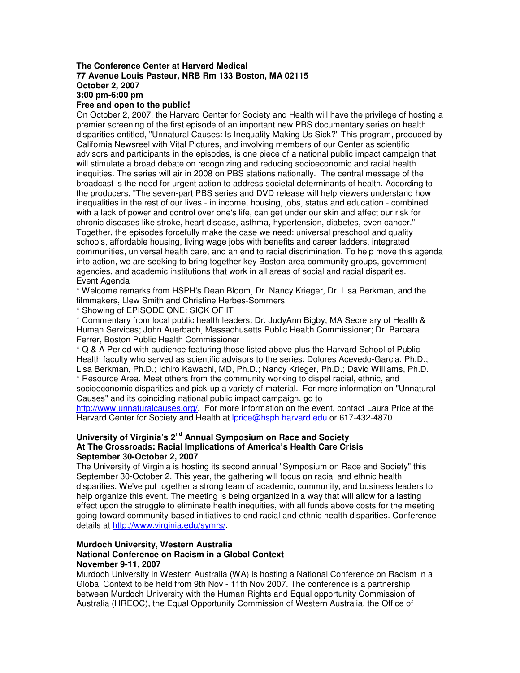# **The Conference Center at Harvard Medical**

# **77 Avenue Louis Pasteur, NRB Rm 133 Boston, MA 02115**

**October 2, 2007**

#### **3:00 pm-6:00 pm Free and open to the public!**

On October 2, 2007, the Harvard Center for Society and Health will have the privilege of hosting a premier screening of the first episode of an important new PBS documentary series on health disparities entitled, "Unnatural Causes: Is Inequality Making Us Sick?" This program, produced by California Newsreel with Vital Pictures, and involving members of our Center as scientific advisors and participants in the episodes, is one piece of a national public impact campaign that will stimulate a broad debate on recognizing and reducing socioeconomic and racial health inequities. The series will air in 2008 on PBS stations nationally. The central message of the broadcast is the need for urgent action to address societal determinants of health. According to the producers, "The seven-part PBS series and DVD release will help viewers understand how inequalities in the rest of our lives - in income, housing, jobs, status and education - combined with a lack of power and control over one's life, can get under our skin and affect our risk for chronic diseases like stroke, heart disease, asthma, hypertension, diabetes, even cancer." Together, the episodes forcefully make the case we need: universal preschool and quality schools, affordable housing, living wage jobs with benefits and career ladders, integrated communities, universal health care, and an end to racial discrimination. To help move this agenda into action, we are seeking to bring together key Boston-area community groups, government agencies, and academic institutions that work in all areas of social and racial disparities. Event Agenda

\* Welcome remarks from HSPH's Dean Bloom, Dr. Nancy Krieger, Dr. Lisa Berkman, and the filmmakers, Llew Smith and Christine Herbes-Sommers

\* Showing of EPISODE ONE: SICK OF IT

\* Commentary from local public health leaders: Dr. JudyAnn Bigby, MA Secretary of Health & Human Services; John Auerbach, Massachusetts Public Health Commissioner; Dr. Barbara Ferrer, Boston Public Health Commissioner

\* Q & A Period with audience featuring those listed above plus the Harvard School of Public Health faculty who served as scientific advisors to the series: Dolores Acevedo-Garcia, Ph.D.; Lisa Berkman, Ph.D.; Ichiro Kawachi, MD, Ph.D.; Nancy Krieger, Ph.D.; David Williams, Ph.D.

\* Resource Area. Meet others from the community working to dispel racial, ethnic, and socioeconomic disparities and pick-up a variety of material. For more information on "Unnatural Causes" and its coinciding national public impact campaign, go to

http://www.unnaturalcauses.org/. For more information on the event, contact Laura Price at the Harvard Center for Society and Health at *Iprice@hsph.harvard.edu* or 617-432-4870.

#### **University of Virginia's 2<sup>nd</sup> Annual Symposium on Race and Society At The Crossroads: Racial Implications of America's Health Care Crisis September 30-October 2, 2007**

The University of Virginia is hosting its second annual "Symposium on Race and Society" this September 30-October 2. This year, the gathering will focus on racial and ethnic health disparities. We've put together a strong team of academic, community, and business leaders to help organize this event. The meeting is being organized in a way that will allow for a lasting effect upon the struggle to eliminate health inequities, with all funds above costs for the meeting going toward community-based initiatives to end racial and ethnic health disparities. Conference details at http://www.virginia.edu/symrs/.

#### **Murdoch University, Western Australia National Conference on Racism in a Global Context November 9-11, 2007**

Murdoch University in Western Australia (WA) is hosting a National Conference on Racism in a Global Context to be held from 9th Nov - 11th Nov 2007. The conference is a partnership between Murdoch University with the Human Rights and Equal opportunity Commission of Australia (HREOC), the Equal Opportunity Commission of Western Australia, the Office of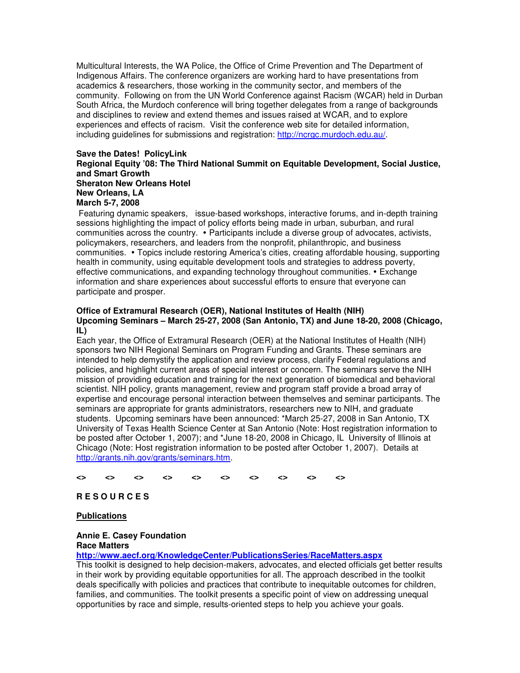Multicultural Interests, the WA Police, the Office of Crime Prevention and The Department of Indigenous Affairs. The conference organizers are working hard to have presentations from academics & researchers, those working in the community sector, and members of the community. Following on from the UN World Conference against Racism (WCAR) held in Durban South Africa, the Murdoch conference will bring together delegates from a range of backgrounds and disciplines to review and extend themes and issues raised at WCAR, and to explore experiences and effects of racism. Visit the conference web site for detailed information, including guidelines for submissions and registration: http://ncrgc.murdoch.edu.au/.

# **Save the Dates! PolicyLink**

**Regional Equity '08: The Third National Summit on Equitable Development, Social Justice, and Smart Growth**

**Sheraton New Orleans Hotel New Orleans, LA**

# **March 5-7, 2008**

Featuring dynamic speakers, issue-based workshops, interactive forums, and in-depth training sessions highlighting the impact of policy efforts being made in urban, suburban, and rural communities across the country. Participants include a diverse group of advocates, activists, policymakers, researchers, and leaders from the nonprofit, philanthropic, and business communities. • Topics include restoring America's cities, creating affordable housing, supporting health in community, using equitable development tools and strategies to address poverty, effective communications, and expanding technology throughout communities. • Exchange information and share experiences about successful efforts to ensure that everyone can participate and prosper.

#### **Office of Extramural Research (OER), National Institutes of Health (NIH) Upcoming Seminars – March 25-27, 2008 (San Antonio, TX) and June 18-20, 2008 (Chicago, IL)**

Each year, the Office of Extramural Research (OER) at the National Institutes of Health (NIH) sponsors two NIH Regional Seminars on Program Funding and Grants. These seminars are intended to help demystify the application and review process, clarify Federal regulations and policies, and highlight current areas of special interest or concern. The seminars serve the NIH mission of providing education and training for the next generation of biomedical and behavioral scientist. NIH policy, grants management, review and program staff provide a broad array of expertise and encourage personal interaction between themselves and seminar participants. The seminars are appropriate for grants administrators, researchers new to NIH, and graduate students. Upcoming seminars have been announced: \*March 25-27, 2008 in San Antonio, TX University of Texas Health Science Center at San Antonio (Note: Host registration information to be posted after October 1, 2007); and \*June 18-20, 2008 in Chicago, IL University of Illinois at Chicago (Note: Host registration information to be posted after October 1, 2007). Details at http://grants.nih.gov/grants/seminars.htm.

**<> <> <> <> <> <> <> <> <> <>**

#### **R E S O U R C E S**

#### **Publications**

# **Annie E. Casey Foundation**

# **Race Matters**

**http://www.aecf.org/KnowledgeCenter/PublicationsSeries/RaceMatters.aspx**

This toolkit is designed to help decision-makers, advocates, and elected officials get better results in their work by providing equitable opportunities for all. The approach described in the toolkit deals specifically with policies and practices that contribute to inequitable outcomes for children, families, and communities. The toolkit presents a specific point of view on addressing unequal opportunities by race and simple, results-oriented steps to help you achieve your goals.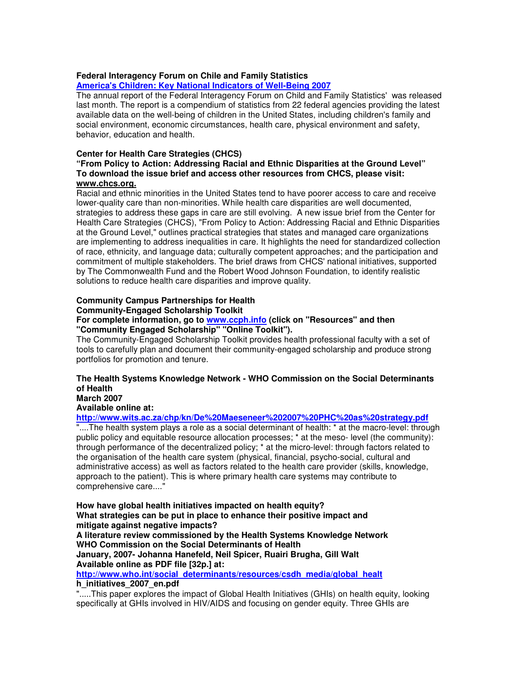# **Federal Interagency Forum on Chile and Family Statistics**

# **America's Children: Key National Indicators of Well-Being 2007**

The annual report of the Federal Interagency Forum on Child and Family Statistics'was released last month. The report is a compendium of statistics from 22 federal agencies providing the latest available data on the well-being of children in the United States, including children's family and social environment, economic circumstances, health care, physical environment and safety, behavior, education and health.

# **Center for Health Care Strategies (CHCS)**

## **"From Policy to Action: Addressing Racial and Ethnic Disparities at the Ground Level" To download the issue brief and access other resources from CHCS, please visit: www.chcs.org.**

Racial and ethnic minorities in the United States tend to have poorer access to care and receive lower-quality care than non-minorities. While health care disparities are well documented, strategies to address these gaps in care are still evolving. A new issue brief from the Center for Health Care Strategies (CHCS), "From Policy to Action: Addressing Racial and Ethnic Disparities at the Ground Level," outlines practical strategies that states and managed care organizations are implementing to address inequalities in care. It highlights the need for standardized collection of race, ethnicity, and language data; culturally competent approaches; and the participation and commitment of multiple stakeholders. The brief draws from CHCS'national initiatives, supported by The Commonwealth Fund and the Robert Wood Johnson Foundation, to identify realistic solutions to reduce health care disparities and improve quality.

# **Community Campus Partnerships for Health**

#### **Community-Engaged Scholarship Toolkit**

#### **For complete information, go to www.ccph.info (click on "Resources" and then "Community Engaged Scholarship" "Online Toolkit").**

The Community-Engaged Scholarship Toolkit provides health professional faculty with a set of tools to carefully plan and document their community-engaged scholarship and produce strong portfolios for promotion and tenure.

# **The Health Systems Knowledge Network - WHO Commission on the Social Determinants of Health**

# **March 2007**

**Available online at:**

#### **http://www.wits.ac.za/chp/kn/De%20Maeseneer%202007%20PHC%20as%20strategy.pdf**

"....The health system plays a role as a social determinant of health: \* at the macro-level: through public policy and equitable resource allocation processes; \* at the meso- level (the community): through performance of the decentralized policy; \* at the micro-level: through factors related to the organisation of the health care system (physical, financial, psycho-social, cultural and administrative access) as well as factors related to the health care provider (skills, knowledge, approach to the patient). This is where primary health care systems may contribute to comprehensive care...."

**How have global health initiatives impacted on health equity? What strategies can be put in place to enhance their positive impact and mitigate against negative impacts?**

**A literature review commissioned by the Health Systems Knowledge Network WHO Commission on the Social Determinants of Health January, 2007- Johanna Hanefeld, Neil Spicer, Ruairi Brugha, Gill Walt Available online as PDF file [32p.] at:**

**http://www.who.int/social\_determinants/resources/csdh\_media/global\_healt h\_initiatives\_2007\_en.pdf**

".....This paper explores the impact of Global Health Initiatives (GHIs) on health equity, looking specifically at GHIs involved in HIV/AIDS and focusing on gender equity. Three GHIs are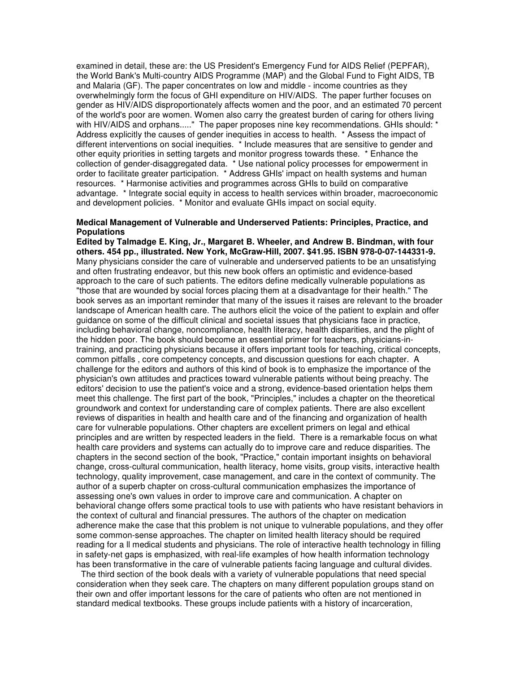examined in detail, these are: the US President's Emergency Fund for AIDS Relief (PEPFAR), the World Bank's Multi-country AIDS Programme (MAP) and the Global Fund to Fight AIDS, TB and Malaria (GF). The paper concentrates on low and middle - income countries as they overwhelmingly form the focus of GHI expenditure on HIV/AIDS. The paper further focuses on gender as HIV/AIDS disproportionately affects women and the poor, and an estimated 70 percent of the world's poor are women. Women also carry the greatest burden of caring for others living with HIV/AIDS and orphans....." The paper proposes nine key recommendations. GHIs should: Address explicitly the causes of gender inequities in access to health. \* Assess the impact of different interventions on social inequities. \* Include measures that are sensitive to gender and other equity priorities in setting targets and monitor progress towards these. \* Enhance the collection of gender-disaggregated data. \* Use national policy processes for empowerment in order to facilitate greater participation. \* Address GHIs'impact on health systems and human resources. \* Harmonise activities and programmes across GHIs to build on comparative advantage. \* Integrate social equity in access to health services within broader, macroeconomic and development policies. \* Monitor and evaluate GHIs impact on social equity.

#### **Medical Management of Vulnerable and Underserved Patients: Principles, Practice, and Populations**

**Edited by Talmadge E. King, Jr., Margaret B. Wheeler, and Andrew B. Bindman, with four others. 454 pp., illustrated. New York, McGraw-Hill, 2007. \$41.95. ISBN 978-0-07-144331-9.** Many physicians consider the care of vulnerable and underserved patients to be an unsatisfying and often frustrating endeavor, but this new book offers an optimistic and evidence-based approach to the care of such patients. The editors define medically vulnerable populations as "those that are wounded by social forces placing them at a disadvantage for their health." The book serves as an important reminder that many of the issues it raises are relevant to the broader landscape of American health care. The authors elicit the voice of the patient to explain and offer guidance on some of the difficult clinical and societal issues that physicians face in practice, including behavioral change, noncompliance, health literacy, health disparities, and the plight of the hidden poor. The book should become an essential primer for teachers, physicians-intraining, and practicing physicians because it offers important tools for teaching, critical concepts, common pitfalls , core competency concepts, and discussion questions for each chapter. A challenge for the editors and authors of this kind of book is to emphasize the importance of the physician's own attitudes and practices toward vulnerable patients without being preachy. The editors'decision to use the patient's voice and a strong, evidence-based orientation helps them meet this challenge. The first part of the book, "Principles," includes a chapter on the theoretical groundwork and context for understanding care of complex patients. There are also excellent reviews of disparities in health and health care and of the financing and organization of health care for vulnerable populations. Other chapters are excellent primers on legal and ethical principles and are written by respected leaders in the field. There is a remarkable focus on what health care providers and systems can actually do to improve care and reduce disparities. The chapters in the second section of the book, "Practice," contain important insights on behavioral change, cross-cultural communication, health literacy, home visits, group visits, interactive health technology, quality improvement, case management, and care in the context of community. The author of a superb chapter on cross-cultural communication emphasizes the importance of assessing one's own values in order to improve care and communication. A chapter on behavioral change offers some practical tools to use with patients who have resistant behaviors in the context of cultural and financial pressures. The authors of the chapter on medication adherence make the case that this problem is not unique to vulnerable populations, and they offer some common-sense approaches. The chapter on limited health literacy should be required reading for a ll medical students and physicians. The role of interactive health technology in filling in safety-net gaps is emphasized, with real-life examples of how health information technology has been transformative in the care of vulnerable patients facing language and cultural divides.

The third section of the book deals with a variety of vulnerable populations that need special consideration when they seek care. The chapters on many different population groups stand on their own and offer important lessons for the care of patients who often are not mentioned in standard medical textbooks. These groups include patients with a history of incarceration,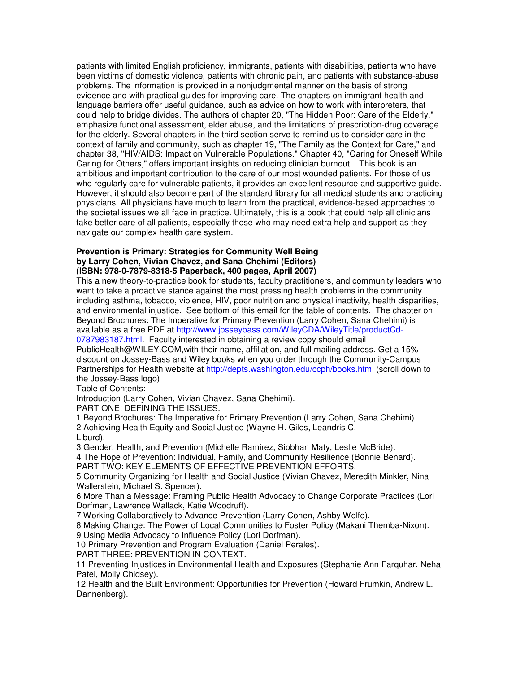patients with limited English proficiency, immigrants, patients with disabilities, patients who have been victims of domestic violence, patients with chronic pain, and patients with substance-abuse problems. The information is provided in a nonjudgmental manner on the basis of strong evidence and with practical guides for improving care. The chapters on immigrant health and language barriers offer useful guidance, such as advice on how to work with interpreters, that could help to bridge divides. The authors of chapter 20, "The Hidden Poor: Care of the Elderly," emphasize functional assessment, elder abuse, and the limitations of prescription-drug coverage for the elderly. Several chapters in the third section serve to remind us to consider care in the context of family and community, such as chapter 19, "The Family as the Context for Care," and chapter 38, "HIV/AIDS: Impact on Vulnerable Populations." Chapter 40, "Caring for Oneself While Caring for Others," offers important insights on reducing clinician burnout. This book is an ambitious and important contribution to the care of our most wounded patients. For those of us who regularly care for vulnerable patients, it provides an excellent resource and supportive guide. However, it should also become part of the standard library for all medical students and practicing physicians. All physicians have much to learn from the practical, evidence-based approaches to the societal issues we all face in practice. Ultimately, this is a book that could help all clinicians take better care of all patients, especially those who may need extra help and support as they navigate our complex health care system.

# **Prevention is Primary: Strategies for Community Well Being by Larry Cohen, Vivian Chavez, and Sana Chehimi (Editors) (ISBN: 978-0-7879-8318-5 Paperback, 400 pages, April 2007)**

This a new theory-to-practice book for students, faculty practitioners, and community leaders who want to take a proactive stance against the most pressing health problems in the community including asthma, tobacco, violence, HIV, poor nutrition and physical inactivity, health disparities, and environmental injustice. See bottom of this email for the table of contents. The chapter on Beyond Brochures: The Imperative for Primary Prevention (Larry Cohen, Sana Chehimi) is available as a free PDF at http://www.josseybass.com/WileyCDA/WileyTitle/productCd-0787983187.html. Faculty interested in obtaining a review copy should email PublicHealth@WILEY.COM,with their name, affiliation, and full mailing address. Get a 15%

discount on Jossey-Bass and Wiley books when you order through the Community-Campus Partnerships for Health website at http://depts.washington.edu/ccph/books.html (scroll down to the Jossey-Bass logo)

Table of Contents:

Introduction (Larry Cohen, Vivian Chavez, Sana Chehimi).

PART ONE: DEFINING THE ISSUES.

1 Beyond Brochures: The Imperative for Primary Prevention (Larry Cohen, Sana Chehimi). 2 Achieving Health Equity and Social Justice (Wayne H. Giles, Leandris C.

Liburd).

3 Gender, Health, and Prevention (Michelle Ramirez, Siobhan Maty, Leslie McBride).

4 The Hope of Prevention: Individual, Family, and Community Resilience (Bonnie Benard). PART TWO: KEY ELEMENTS OF EFFECTIVE PREVENTION EFFORTS.

5 Community Organizing for Health and Social Justice (Vivian Chavez, Meredith Minkler, Nina Wallerstein, Michael S. Spencer).

6 More Than a Message: Framing Public Health Advocacy to Change Corporate Practices (Lori Dorfman, Lawrence Wallack, Katie Woodruff).

7 Working Collaboratively to Advance Prevention (Larry Cohen, Ashby Wolfe).

8 Making Change: The Power of Local Communities to Foster Policy (Makani Themba-Nixon). 9 Using Media Advocacy to Influence Policy (Lori Dorfman).

10 Primary Prevention and Program Evaluation (Daniel Perales).

PART THREE: PREVENTION IN CONTEXT.

11 Preventing Injustices in Environmental Health and Exposures (Stephanie Ann Farquhar, Neha Patel, Molly Chidsey).

12 Health and the Built Environment: Opportunities for Prevention (Howard Frumkin, Andrew L. Dannenberg).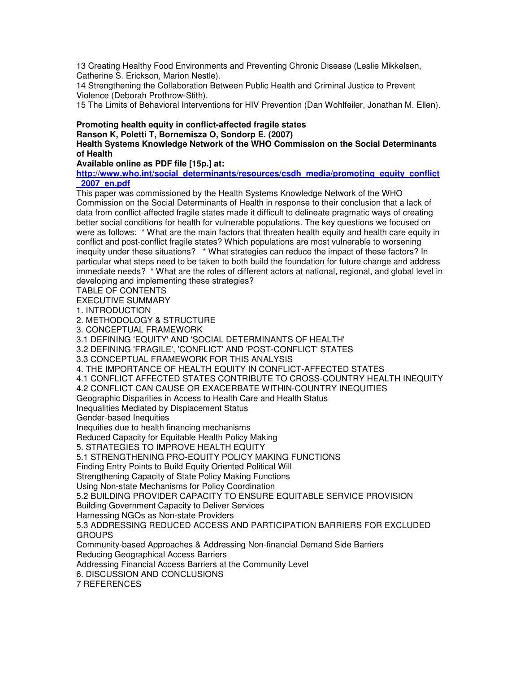13 Creating Healthy Food Environments and Preventing Chronic Disease (Leslie Mikkelsen, Catherine S. Erickson, Marion Nestle).

14 Strengthening the Collaboration Between Public Health and Criminal Justice to Prevent Violence (Deborah Prothrow-Stith).

15 The Limits of Behavioral Interventions for HIV Prevention (Dan Wohlfeiler, Jonathan M. Ellen).

#### **Promoting health equity in conflict-affected fragile states Ranson K, Poletti T, Bornemisza O, Sondorp E. (2007)**

**Health Systems Knowledge Network of the WHO Commission on the Social Determinants of Health**

# **Available online as PDF file [15p.] at:**

**http://www.who.int/social\_determinants/resources/csdh\_media/promoting\_equity\_conflict \_2007\_en.pdf**

This paper was commissioned by the Health Systems Knowledge Network of the WHO Commission on the Social Determinants of Health in response to their conclusion that a lack of data from conflict-affected fragile states made it difficult to delineate pragmatic ways of creating better social conditions for health for vulnerable populations. The key questions we focused on were as follows: \* What are the main factors that threaten health equity and health care equity in conflict and post-conflict fragile states? Which populations are most vulnerable to worsening inequity under these situations? \* What strategies can reduce the impact of these factors? In particular what steps need to be taken to both build the foundation for future change and address immediate needs? \* What are the roles of different actors at national, regional, and global level in developing and implementing these strategies? TABLE OF CONTENTS EXECUTIVE SUMMARY 1. INTRODUCTION 2. METHODOLOGY & STRUCTURE 3. CONCEPTUAL FRAMEWORK 3.1 DEFINING 'EQUITY'AND 'SOCIAL DETERMINANTS OF HEALTH' 3.2 DEFINING 'FRAGILE', 'CONFLICT'AND 'POST-CONFLICT'STATES 3.3 CONCEPTUAL FRAMEWORK FOR THIS ANALYSIS 4. THE IMPORTANCE OF HEALTH EQUITY IN CONFLICT-AFFECTED STATES 4.1 CONFLICT AFFECTED STATES CONTRIBUTE TO CROSS-COUNTRY HEALTH INEQUITY 4.2 CONFLICT CAN CAUSE OR EXACERBATE WITHIN-COUNTRY INEQUITIES Geographic Disparities in Access to Health Care and Health Status Inequalities Mediated by Displacement Status Gender-based Inequities Inequities due to health financing mechanisms Reduced Capacity for Equitable Health Policy Making 5. STRATEGIES TO IMPROVE HEALTH EQUITY 5.1 STRENGTHENING PRO-EQUITY POLICY MAKING FUNCTIONS Finding Entry Points to Build Equity Oriented Political Will Strengthening Capacity of State Policy Making Functions Using Non-state Mechanisms for Policy Coordination 5.2 BUILDING PROVIDER CAPACITY TO ENSURE EQUITABLE SERVICE PROVISION Building Government Capacity to Deliver Services Harnessing NGOs as Non-state Providers 5.3 ADDRESSING REDUCED ACCESS AND PARTICIPATION BARRIERS FOR EXCLUDED **GROUPS** Community-based Approaches & Addressing Non-financial Demand Side Barriers Reducing Geographical Access Barriers Addressing Financial Access Barriers at the Community Level 6. DISCUSSION AND CONCLUSIONS

7 REFERENCES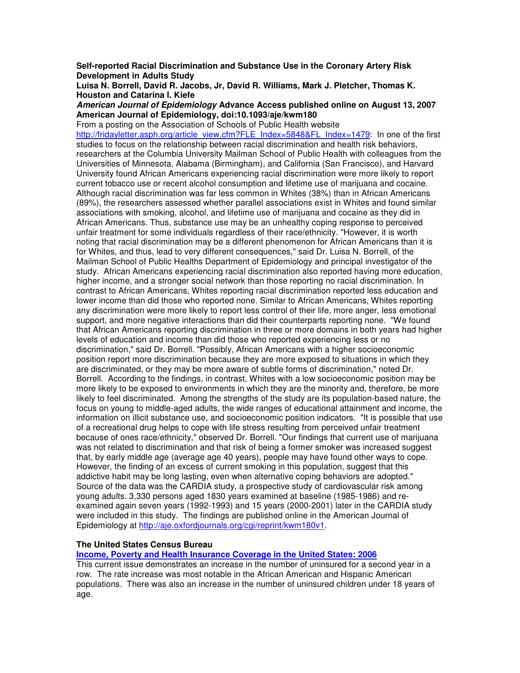**Self-reported Racial Discrimination and Substance Use in the Coronary Artery Risk Development in Adults Study**

**Luisa N. Borrell, David R. Jacobs, Jr, David R. Williams, Mark J. Pletcher, Thomas K. Houston and Catarina I. Kiefe**

*American Journal of Epidemiology* **Advance Access published online on August 13, 2007 American Journal of Epidemiology, doi:10.1093/aje/kwm180**

From a posting on the Association of Schools of Public Health website http://fridayletter.asph.org/article\_view.cfm?FLE\_Index=5848&FL\_Index=1479: In one of the first studies to focus on the relationship between racial discrimination and health risk behaviors, researchers at the Columbia University Mailman School of Public Health with colleagues from the Universities of Minnesota, Alabama (Birmingham), and California (San Francisco), and Harvard University found African Americans experiencing racial discrimination were more likely to report current tobacco use or recent alcohol consumption and lifetime use of marijuana and cocaine. Although racial discrimination was far less common in Whites (38%) than in African Americans (89%), the researchers assessed whether parallel associations exist in Whites and found similar associations with smoking, alcohol, and lifetime use of marijuana and cocaine as they did in African Americans. Thus, substance use may be an unhealthy coping response to perceived unfair treatment for some individuals regardless of their race/ethnicity. "However, it is worth noting that racial discrimination may be a different phenomenon for African Americans than it is for Whites, and thus, lead to very different consequences," said Dr. Luisa N. Borrell, of the Mailman School of Public Healths Department of Epidemiology and principal investigator of the study. African Americans experiencing racial discrimination also reported having more education, higher income, and a stronger social network than those reporting no racial discrimination. In contrast to African Americans, Whites reporting racial discrimination reported less education and lower income than did those who reported none. Similar to African Americans, Whites reporting any discrimination were more likely to report less control of their life, more anger, less emotional support, and more negative interactions than did their counterparts reporting none. "We found that African Americans reporting discrimination in three or more domains in both years had higher levels of education and income than did those who reported experiencing less or no discrimination," said Dr. Borrell. "Possibly, African Americans with a higher socioeconomic position report more discrimination because they are more exposed to situations in which they are discriminated, or they may be more aware of subtle forms of discrimination," noted Dr. Borrell. According to the findings, in contrast, Whites with a low socioeconomic position may be more likely to be exposed to environments in which they are the minority and, therefore, be more likely to feel discriminated. Among the strengths of the study are its population-based nature, the focus on young to middle-aged adults, the wide ranges of educational attainment and income, the information on illicit substance use, and socioeconomic position indicators. "It is possible that use of a recreational drug helps to cope with life stress resulting from perceived unfair treatment because of ones race/ethnicity," observed Dr. Borrell. "Our findings that current use of marijuana was not related to discrimination and that risk of being a former smoker was increased suggest that, by early middle age (average age 40 years), people may have found other ways to cope. However, the finding of an excess of current smoking in this population, suggest that this addictive habit may be long lasting, even when alternative coping behaviors are adopted." Source of the data was the CARDIA study, a prospective study of cardiovascular risk among young adults. 3,330 persons aged 1830 years examined at baseline (1985-1986) and reexamined again seven years (1992-1993) and 15 years (2000-2001) later in the CARDIA study were included in this study. The findings are published online in the American Journal of Epidemiology at http://aje.oxfordjournals.org/cgi/reprint/kwm180v1.

#### **The United States Census Bureau**

**Income, Poverty and Health Insurance Coverage in the United States: 2006**

This current issue demonstrates an increase in the number of uninsured for a second year in a row. The rate increase was most notable in the African American and Hispanic American populations. There was also an increase in the number of uninsured children under 18 years of age.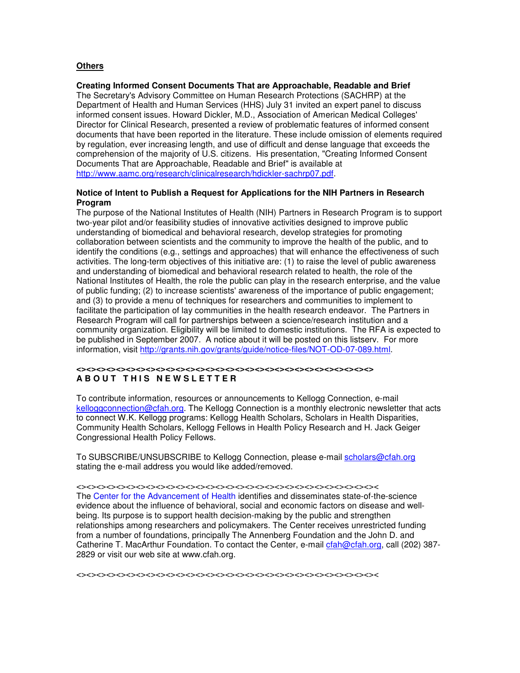# **Others**

## **Creating Informed Consent Documents That are Approachable, Readable and Brief**

The Secretary's Advisory Committee on Human Research Protections (SACHRP) at the Department of Health and Human Services (HHS) July 31 invited an expert panel to discuss informed consent issues. Howard Dickler, M.D., Association of American Medical Colleges' Director for Clinical Research, presented a review of problematic features of informed consent documents that have been reported in the literature. These include omission of elements required by regulation, ever increasing length, and use of difficult and dense language that exceeds the comprehension of the majority of U.S. citizens. His presentation, "Creating Informed Consent Documents That are Approachable, Readable and Brief" is available at http://www.aamc.org/research/clinicalresearch/hdickler-sachrp07.pdf.

#### **Notice of Intent to Publish a Request for Applications for the NIH Partners in Research Program**

The purpose of the National Institutes of Health (NIH) Partners in Research Program is to support two-year pilot and/or feasibility studies of innovative activities designed to improve public understanding of biomedical and behavioral research, develop strategies for promoting collaboration between scientists and the community to improve the health of the public, and to identify the conditions (e.g., settings and approaches) that will enhance the effectiveness of such activities. The long-term objectives of this initiative are: (1) to raise the level of public awareness and understanding of biomedical and behavioral research related to health, the role of the National Institutes of Health, the role the public can play in the research enterprise, and the value of public funding; (2) to increase scientists'awareness of the importance of public engagement; and (3) to provide a menu of techniques for researchers and communities to implement to facilitate the participation of lay communities in the health research endeavor. The Partners in Research Program will call for partnerships between a science/research institution and a community organization. Eligibility will be limited to domestic institutions. The RFA is expected to be published in September 2007. A notice about it will be posted on this listserv. For more information, visit http://grants.nih.gov/grants/guide/notice-files/NOT-OD-07-089.html.

#### **<><><><><><><><><><><><><><><><><><><><><><><><><><><><><><> A B O U T T H I S N E W S L E T T E R**

To contribute information, resources or announcements to Kellogg Connection, e-mail kelloggconnection@cfah.org. The Kellogg Connection is a monthly electronic newsletter that acts to connect W.K. Kellogg programs: Kellogg Health Scholars, Scholars in Health Disparities, Community Health Scholars, Kellogg Fellows in Health Policy Research and H. Jack Geiger Congressional Health Policy Fellows.

To SUBSCRIBE/UNSUBSCRIBE to Kellogg Connection, please e-mail scholars@cfah.org stating the e-mail address you would like added/removed.

<><><><><><><><><><><><><><><><><><><><><><><><><><><><><><>< The Center for the Advancement of Health identifies and disseminates state-of-the-science evidence about the influence of behavioral, social and economic factors on disease and wellbeing. Its purpose is to support health decision-making by the public and strengthen relationships among researchers and policymakers. The Center receives unrestricted funding from a number of foundations, principally The Annenberg Foundation and the John D. and Catherine T. MacArthur Foundation. To contact the Center, e-mail cfah@cfah.org, call (202) 387- 2829 or visit our web site at www.cfah.org.

<><><><><><><><><><><><><><><><><><><><><><><><><><><><><><><